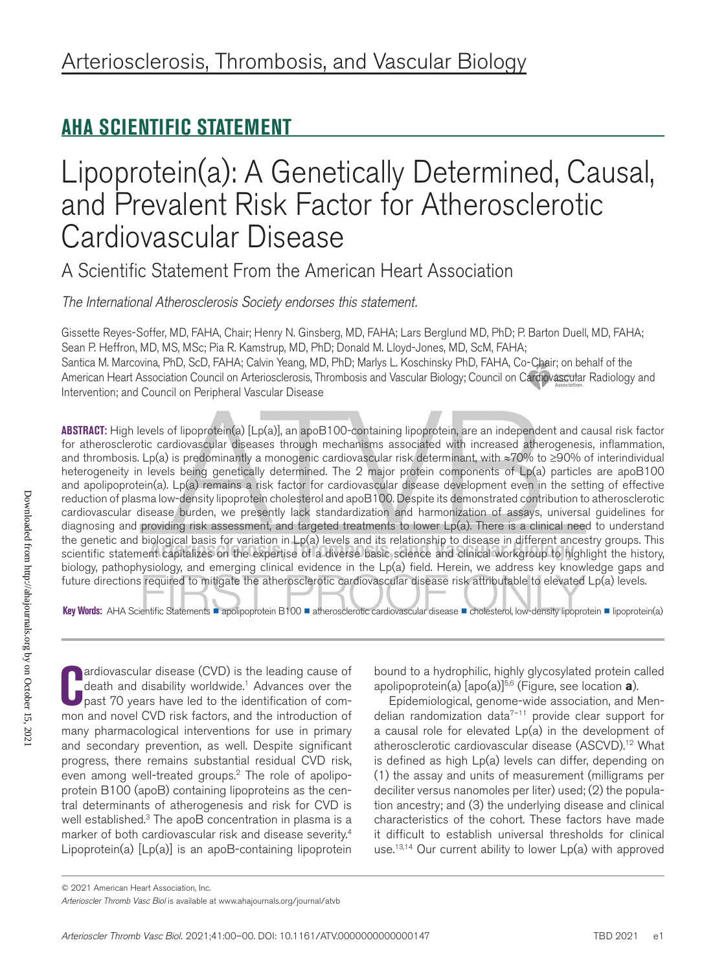## **AHA SCIENTIFIC STATEMENT**

# Lipoprotein(a): A Genetically Determined, Causal, and Prevalent Risk Factor for Atherosclerotic Cardiovascular Disease

A Scientific Statement From the American Heart Association

*The International Atherosclerosis Society endorses this statement.*

Gissette Reyes-Soffer, MD, FAHA, Chair; Henry N. Ginsberg, MD, FAHA; Lars Berglund MD, PhD; P. Barton Duell, MD, FAHA; Sean P. Heffron, MD, MS, MSc; Pia R. Kamstrup, MD, PhD; Donald M. Lloyd-Jones, MD, ScM, FAHA; Santica M. Marcovina, PhD, ScD, FAHA; Calvin Yeang, MD, PhD; Marlys L. Koschinsky PhD, FAHA, Co-Chair; on behalf of the American Heart Association Council on Arteriosclerosis, Thrombosis and Vascular Biology; Council on Cardiovascular Radiology and Intervention; and Council on Peripheral Vascular Disease

**ABSTRACT:** High levels of lipoprotein(a) [Lp(a)], an apoB100-containing lipoprotein, are an independent and causal risk factor for atherosclerotic cardiovascular diseases through mechanisms associated with increased atherogenesis, inflammation, and thrombosis. Lp(a) is predominantly a monogenic cardiovascular risk determinant, with ≈70% to ≥90% of interindividual heterogeneity in levels being genetically determined. The 2 major protein components of Lp(a) particles are apoB100 and apolipoprotein(a). Lp(a) remains a risk factor for cardiovascular disease development even in the setting of effective reduction of plasma low-density lipoprotein cholesterol and apoB100. Despite its demonstrated contribution to atherosclerotic cardiovascular disease burden, we presently lack standardization and harmonization of assays, universal guidelines for diagnosing and providing risk assessment, and targeted treatments to lower Lp(a). There is a clinical need to understand the genetic and biological basis for variation in Lp(a) levels and its relationship to disease in different ancestry groups. This scientific statement capitalizes on the expertise of a diverse basic science and clinical workgroup to highlight the history, biology, pathophysiology, and emerging clinical evidence in the Lp(a) field. Herein, we address key knowledge gaps and future directions required to mitigate the atherosclerotic cardiovascular disease risk attributable to elevated Lp(a) levels.

**Key Words:** AHA Scientific Statements ■ apolipoprotein B100 ■ atherosclerotic cardiovascular disease ■ cholesterol, low-density lipoprotein ■ lipoprotein(a)

**C** mon and novel CVD risk factors, and the introduction of ardiovascular disease (CVD) is the leading cause of death and disability worldwide.<sup>1</sup> Advances over the past 70 years have led to the identification of commany pharmacological interventions for use in primary and secondary prevention, as well. Despite significant progress, there remains substantial residual CVD risk, even among well-treated groups.2 The role of apolipoprotein B100 (apoB) containing lipoproteins as the central determinants of atherogenesis and risk for CVD is well established.<sup>3</sup> The apoB concentration in plasma is a marker of both cardiovascular risk and disease severity.4 Lipoprotein(a) [Lp(a)] is an apoB-containing lipoprotein

bound to a hydrophilic, highly glycosylated protein called apolipoprotein(a) [apo(a)]<sup>5,6</sup> (Figure, see location **a**).

Epidemiological, genome-wide association, and Mendelian randomization data $7-11$  provide clear support for a causal role for elevated Lp(a) in the development of atherosclerotic cardiovascular disease (ASCVD).12 What is defined as high Lp(a) levels can differ, depending on (1) the assay and units of measurement (milligrams per deciliter versus nanomoles per liter) used; (2) the population ancestry; and (3) the underlying disease and clinical characteristics of the cohort. These factors have made it difficult to establish universal thresholds for clinical use.<sup>13,14</sup> Our current ability to lower  $Lp(a)$  with approved

<sup>© 2021</sup> American Heart Association, Inc.

*Arterioscler Thromb Vasc Biol* is available at www.ahajournals.org/journal/atvb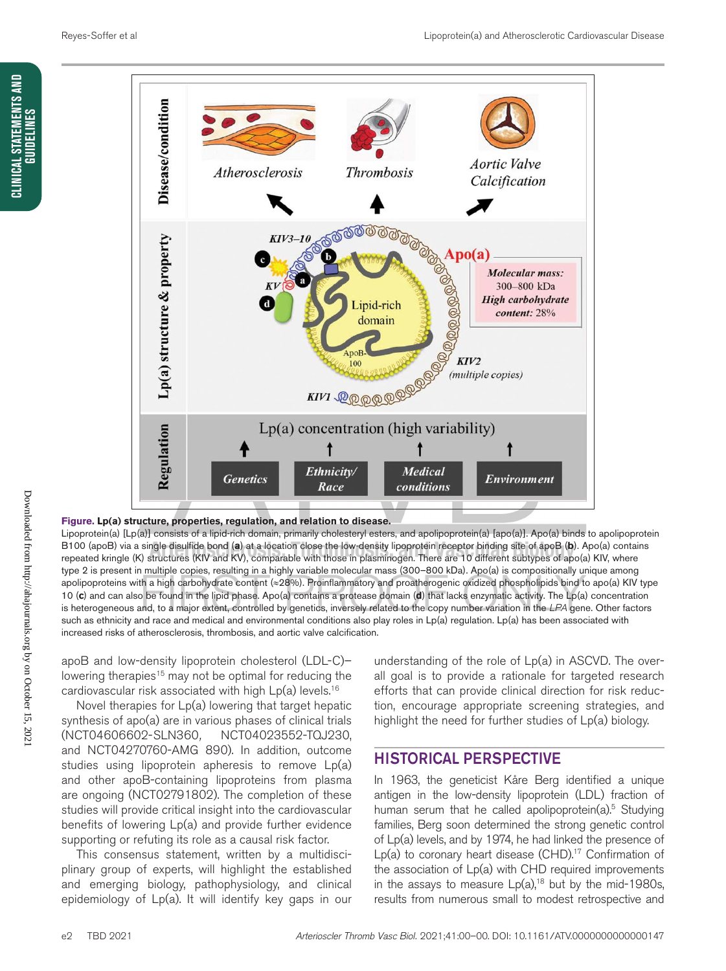

#### **Figure. Lp(a) structure, properties, regulation, and relation to disease.**

Lipoprotein(a) [Lp(a)] consists of a lipid-rich domain, primarily cholesteryl esters, and apolipoprotein(a) [apo(a)]. Apo(a) binds to apolipoprotein B100 (apoB) via a single disulfide bond (**a**) at a location close the low-density lipoprotein receptor binding site of apoB (**b**). Apo(a) contains repeated kringle (K) structures (KIV and KV), comparable with those in plasminogen. There are 10 different subtypes of apo(a) KIV, where type 2 is present in multiple copies, resulting in a highly variable molecular mass (300–800 kDa). Apo(a) is compositionally unique among apolipoproteins with a high carbohydrate content (≈28%). Proinflammatory and proatherogenic oxidized phospholipids bind to apo(a) KIV type 10 (**c**) and can also be found in the lipid phase. Apo(a) contains a protease domain (**d**) that lacks enzymatic activity. The Lp(a) concentration is heterogeneous and, to a major extent, controlled by genetics, inversely related to the copy number variation in the *LPA* gene. Other factors such as ethnicity and race and medical and environmental conditions also play roles in Lp(a) regulation. Lp(a) has been associated with increased risks of atherosclerosis, thrombosis, and aortic valve calcification.

apoB and low-density lipoprotein cholesterol (LDL-C)– lowering therapies<sup>15</sup> may not be optimal for reducing the cardiovascular risk associated with high Lp(a) levels.<sup>16</sup>

Novel therapies for Lp(a) lowering that target hepatic synthesis of apo(a) are in various phases of clinical trials (NCT04606602-SLN360*,* NCT04023552-TQJ230, and NCT04270760-AMG 890). In addition, outcome studies using lipoprotein apheresis to remove Lp(a) and other apoB-containing lipoproteins from plasma are ongoing (NCT02791802). The completion of these studies will provide critical insight into the cardiovascular benefits of lowering Lp(a) and provide further evidence supporting or refuting its role as a causal risk factor.

This consensus statement, written by a multidisciplinary group of experts, will highlight the established and emerging biology, pathophysiology, and clinical epidemiology of Lp(a). It will identify key gaps in our understanding of the role of Lp(a) in ASCVD. The overall goal is to provide a rationale for targeted research efforts that can provide clinical direction for risk reduction, encourage appropriate screening strategies, and highlight the need for further studies of Lp(a) biology.

### HISTORICAL PERSPECTIVE

In 1963, the geneticist Kåre Berg identified a unique antigen in the low-density lipoprotein (LDL) fraction of human serum that he called apolipoprotein(a).<sup>5</sup> Studying families, Berg soon determined the strong genetic control of Lp(a) levels, and by 1974, he had linked the presence of  $Lp(a)$  to coronary heart disease (CHD).<sup>17</sup> Confirmation of the association of Lp(a) with CHD required improvements in the assays to measure  $Lp(a)$ ,<sup>18</sup> but by the mid-1980s, results from numerous small to modest retrospective and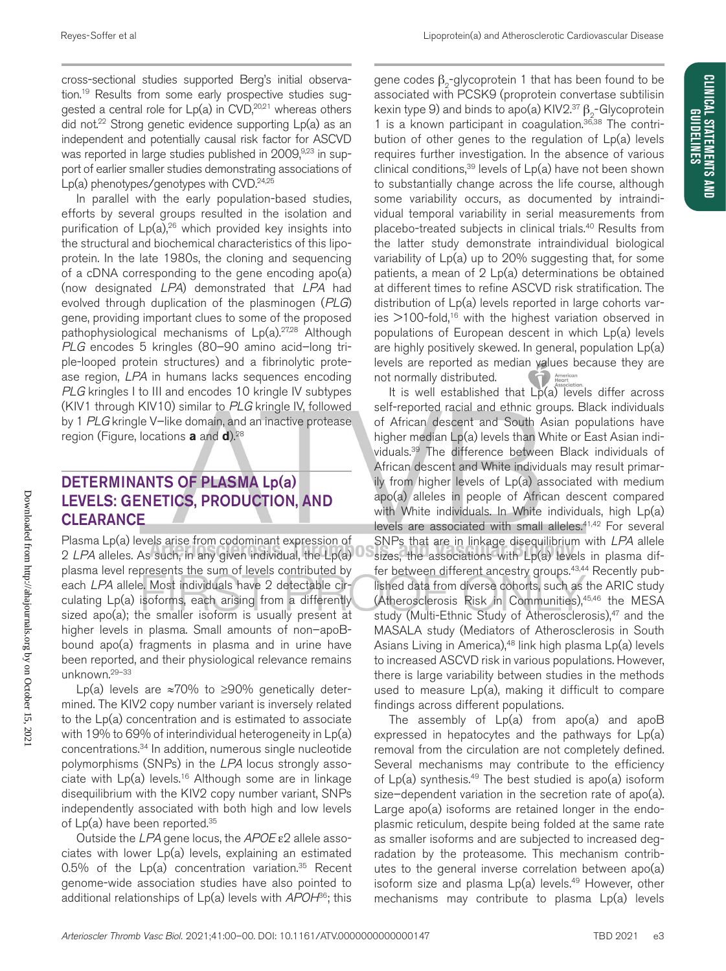CLINICAL STATEMENTS AND **GUIDELINES** 

cross-sectional studies supported Berg's initial observation.<sup>19</sup> Results from some early prospective studies suggested a central role for  $Lp(a)$  in  $CVD<sub>1</sub><sup>20,21</sup>$  whereas others did not.<sup>22</sup> Strong genetic evidence supporting Lp(a) as an independent and potentially causal risk factor for ASCVD was reported in large studies published in 2009,<sup>9,23</sup> in support of earlier smaller studies demonstrating associations of  $Lp(a)$  phenotypes/genotypes with CVD.<sup>24,25</sup>

In parallel with the early population-based studies, efforts by several groups resulted in the isolation and purification of  $Lp(a)$ ,<sup>26</sup> which provided key insights into the structural and biochemical characteristics of this lipoprotein. In the late 1980s, the cloning and sequencing of a cDNA corresponding to the gene encoding apo(a) (now designated *LPA*) demonstrated that *LPA* had evolved through duplication of the plasminogen (*PLG*) gene, providing important clues to some of the proposed pathophysiological mechanisms of  $Lp(a).^{27,28}$  Although *PLG* encodes 5 kringles (80–90 amino acid–long triple-looped protein structures) and a fibrinolytic protease region, *LPA* in humans lacks sequences encoding *PLG* kringles I to III and encodes 10 kringle IV subtypes (KIV1 through KIV10) similar to *PLG* kringle IV, followed by 1 *PLG* kringle V–like domain, and an inactive protease region (Figure, locations **a** and **d**).28

### DETERMINANTS OF PLASMA Lp(a) LEVELS: GENETICS, PRODUCTION, AND **CLEARANCE**

Plasma Lp(a) levels arise from codominant expression of 2 *LPA* alleles. As such, in any given individual, the Lp(a) plasma level represents the sum of levels contributed by each *LPA* allele. Most individuals have 2 detectable circulating Lp(a) isoforms, each arising from a differently sized apo(a); the smaller isoform is usually present at higher levels in plasma. Small amounts of non-apoBbound apo(a) fragments in plasma and in urine have been reported, and their physiological relevance remains unknown.29–33

Lp(a) levels are  $\approx 70\%$  to ≥90% genetically determined. The KIV2 copy number variant is inversely related to the Lp(a) concentration and is estimated to associate with 19% to 69% of interindividual heterogeneity in Lp(a) concentrations.34 In addition, numerous single nucleotide polymorphisms (SNPs) in the *LPA* locus strongly associate with  $Lp(a)$  levels.<sup>16</sup> Although some are in linkage disequilibrium with the KIV2 copy number variant, SNPs independently associated with both high and low levels of Lp(a) have been reported.<sup>35</sup>

Outside the *LPA* gene locus, the *APOE* ε2 allele associates with lower Lp(a) levels, explaining an estimated 0.5% of the  $Lp(a)$  concentration variation.<sup>35</sup> Recent genome-wide association studies have also pointed to additional relationships of Lp(a) levels with *APOH*36; this gene codes  $\beta_{0}$ -glycoprotein 1 that has been found to be associated with PCSK9 (proprotein convertase subtilisin kexin type 9) and binds to apo(a) KIV2.<sup>37</sup>  $\beta$ <sub>2</sub>-Glycoprotein 1 is a known participant in coagulation.<sup>36,38</sup> The contribution of other genes to the regulation of Lp(a) levels requires further investigation. In the absence of various clinical conditions,<sup>39</sup> levels of  $Lp(a)$  have not been shown to substantially change across the life course, although some variability occurs, as documented by intraindividual temporal variability in serial measurements from placebo-treated subjects in clinical trials.40 Results from the latter study demonstrate intraindividual biological variability of Lp(a) up to 20% suggesting that, for some patients, a mean of 2 Lp(a) determinations be obtained at different times to refine ASCVD risk stratification. The distribution of Lp(a) levels reported in large cohorts varies  $>100$ -fold,<sup>16</sup> with the highest variation observed in populations of European descent in which Lp(a) levels are highly positively skewed. In general, population Lp(a) levels are reported as median values because they are not normally distributed. American

It is well established that  $Lp(a)$  levels differ across self-reported racial and ethnic groups. Black individuals of African descent and South Asian populations have higher median Lp(a) levels than White or East Asian individuals.39 The difference between Black individuals of African descent and White individuals may result primarily from higher levels of Lp(a) associated with medium apo(a) alleles in people of African descent compared with White individuals. In White individuals, high Lp(a) levels are associated with small alleles.<sup>41,42</sup> For several SNPs that are in linkage disequilibrium with *LPA* allele sizes, the associations with Lp(a) levels in plasma differ between different ancestry groups.<sup>43,44</sup> Recently published data from diverse cohorts, such as the ARIC study (Atherosclerosis Risk in Communities),45,46 the MESA study (Multi-Ethnic Study of Atherosclerosis),<sup>47</sup> and the MASALA study (Mediators of Atherosclerosis in South Asians Living in America),<sup>48</sup> link high plasma  $Lp(a)$  levels to increased ASCVD risk in various populations. However, there is large variability between studies in the methods used to measure Lp(a), making it difficult to compare findings across different populations.

The assembly of  $Lp(a)$  from apo $(a)$  and apoB expressed in hepatocytes and the pathways for Lp(a) removal from the circulation are not completely defined. Several mechanisms may contribute to the efficiency of  $Lp(a)$  synthesis.<sup>49</sup> The best studied is apo(a) isoform size–dependent variation in the secretion rate of apo(a). Large apo(a) isoforms are retained longer in the endoplasmic reticulum, despite being folded at the same rate as smaller isoforms and are subjected to increased degradation by the proteasome. This mechanism contributes to the general inverse correlation between apo(a) isoform size and plasma  $Lp(a)$  levels.<sup>49</sup> However, other mechanisms may contribute to plasma Lp(a) levels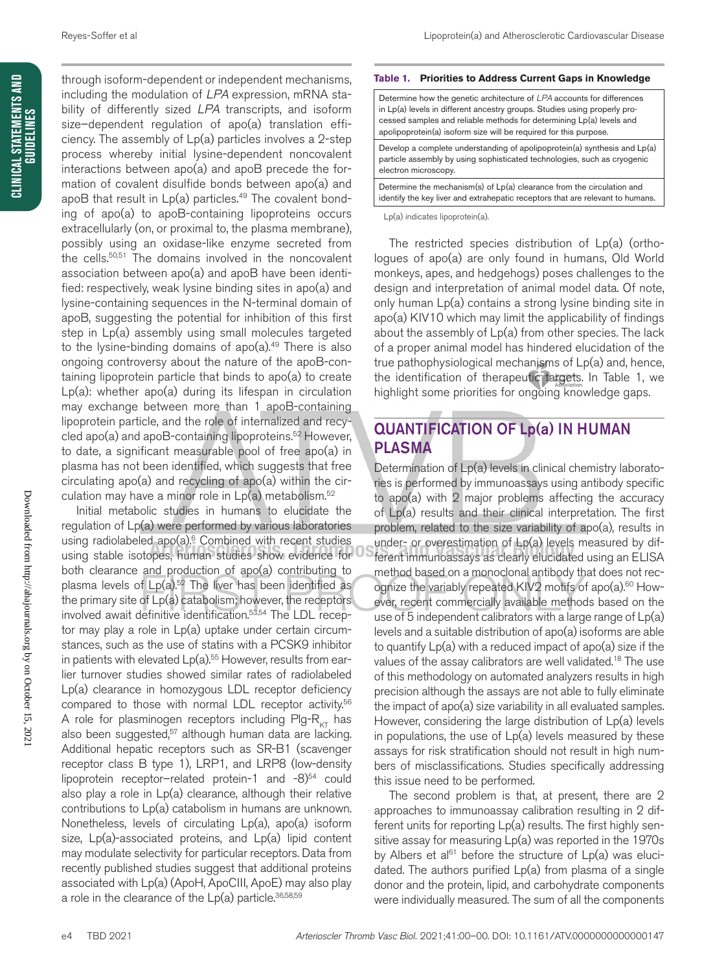through isoform-dependent or independent mechanisms, including the modulation of *LPA* expression, mRNA stability of differently sized *LPA* transcripts, and isoform size–dependent regulation of apo(a) translation efficiency. The assembly of Lp(a) particles involves a 2-step process whereby initial lysine-dependent noncovalent interactions between apo(a) and apoB precede the formation of covalent disulfide bonds between apo(a) and apoB that result in  $Lp(a)$  particles.<sup>49</sup> The covalent bonding of apo(a) to apoB-containing lipoproteins occurs extracellularly (on, or proximal to, the plasma membrane), possibly using an oxidase-like enzyme secreted from the cells.<sup>50,51</sup> The domains involved in the noncovalent association between apo(a) and apoB have been identified: respectively, weak lysine binding sites in apo(a) and lysine-containing sequences in the N-terminal domain of apoB, suggesting the potential for inhibition of this first step in Lp(a) assembly using small molecules targeted to the lysine-binding domains of  $apo(a).49$  There is also ongoing controversy about the nature of the apoB-containing lipoprotein particle that binds to apo(a) to create Lp(a): whether apo(a) during its lifespan in circulation may exchange between more than 1 apoB-containing lipoprotein particle, and the role of internalized and recycled apo(a) and apoB-containing lipoproteins.<sup>52</sup> However, to date, a significant measurable pool of free apo(a) in plasma has not been identified, which suggests that free circulating apo(a) and recycling of apo(a) within the circulation may have a minor role in  $Lp(a)$  metabolism.<sup>52</sup>

Initial metabolic studies in humans to elucidate the regulation of Lp(a) were performed by various laboratories using radiolabeled apo $(a)$ <sup>6</sup> Combined with recent studies using stable isotopes, human studies show evidence for both clearance and production of apo(a) contributing to plasma levels of  $Lp(a)$ .<sup>52</sup> The liver has been identified as the primary site of Lp(a) catabolism; however, the receptors involved await definitive identification.53,54 The LDL receptor may play a role in Lp(a) uptake under certain circumstances, such as the use of statins with a PCSK9 inhibitor in patients with elevated  $Lp(a).^{55}$  However, results from earlier turnover studies showed similar rates of radiolabeled Lp(a) clearance in homozygous LDL receptor deficiency compared to those with normal LDL receptor activity.<sup>56</sup> A role for plasminogen receptors including Plg- $R_{KT}$  has also been suggested,<sup>57</sup> although human data are lacking. Additional hepatic receptors such as SR-B1 (scavenger receptor class B type 1), LRP1, and LRP8 (low-density lipoprotein receptor-related protein-1 and  $-8$ <sup>54</sup> could also play a role in Lp(a) clearance, although their relative contributions to Lp(a) catabolism in humans are unknown. Nonetheless, levels of circulating Lp(a), apo(a) isoform size, Lp(a)-associated proteins, and Lp(a) lipid content may modulate selectivity for particular receptors. Data from recently published studies suggest that additional proteins associated with Lp(a) (ApoH, ApoCIII, ApoE) may also play a role in the clearance of the  $Lp(a)$  particle.<sup>36,58,59</sup>

#### **Table 1. Priorities to Address Current Gaps in Knowledge**

| Determine how the genetic architecture of LPA accounts for differences<br>in Lp(a) levels in different ancestry groups. Studies using properly pro-<br>cessed samples and reliable methods for determining Lp(a) levels and<br>apolipoprotein(a) isoform size will be required for this purpose. |
|--------------------------------------------------------------------------------------------------------------------------------------------------------------------------------------------------------------------------------------------------------------------------------------------------|
| Develop a complete understanding of apolipoprotein(a) synthesis and Lp(a)                                                                                                                                                                                                                        |

particle assembly by using sophisticated technologies, such as cryogenic electron microscopy.

Determine the mechanism(s) of Lp(a) clearance from the circulation and identify the key liver and extrahepatic receptors that are relevant to humans.

Lp(a) indicates lipoprotein(a).

The restricted species distribution of Lp(a) (orthologues of apo(a) are only found in humans, Old World monkeys, apes, and hedgehogs) poses challenges to the design and interpretation of animal model data. Of note, only human Lp(a) contains a strong lysine binding site in apo(a) KIV10 which may limit the applicability of findings about the assembly of Lp(a) from other species. The lack of a proper animal model has hindered elucidation of the true pathophysiological mechanisms of Lp(a) and, hence, the identification of therapeutic targets. In Table 1, we highlight some priorities for ongoing knowledge gaps.

### QUANTIFICATION OF Lp(a) IN HUMAN PLASMA

Determination of Lp(a) levels in clinical chemistry laboratories is performed by immunoassays using antibody specific to apo(a) with 2 major problems affecting the accuracy of Lp(a) results and their clinical interpretation. The first problem, related to the size variability of apo(a), results in under- or overestimation of Lp(a) levels measured by different immunoassays as clearly elucidated using an ELISA method based on a monoclonal antibody that does not recognize the variably repeated KIV2 motifs of apo(a).<sup>60</sup> However, recent commercially available methods based on the use of 5 independent calibrators with a large range of  $Lp(a)$ levels and a suitable distribution of apo(a) isoforms are able to quantify Lp(a) with a reduced impact of apo(a) size if the values of the assay calibrators are well validated.<sup>18</sup> The use of this methodology on automated analyzers results in high precision although the assays are not able to fully eliminate the impact of apo(a) size variability in all evaluated samples. However, considering the large distribution of Lp(a) levels in populations, the use of Lp(a) levels measured by these assays for risk stratification should not result in high numbers of misclassifications. Studies specifically addressing this issue need to be performed.

The second problem is that, at present, there are 2 approaches to immunoassay calibration resulting in 2 different units for reporting Lp(a) results. The first highly sensitive assay for measuring Lp(a) was reported in the 1970s by Albers et al<sup>61</sup> before the structure of  $Lp(a)$  was elucidated. The authors purified Lp(a) from plasma of a single donor and the protein, lipid, and carbohydrate components were individually measured. The sum of all the components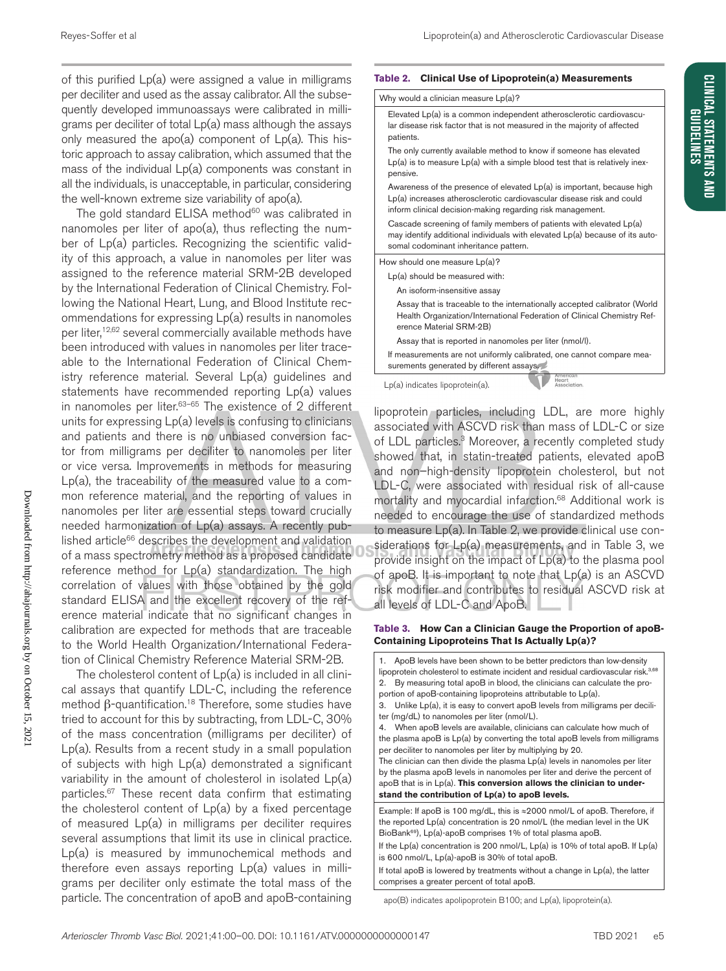of this purified Lp(a) were assigned a value in milligrams per deciliter and used as the assay calibrator. All the subsequently developed immunoassays were calibrated in milligrams per deciliter of total Lp(a) mass although the assays only measured the apo(a) component of Lp(a). This historic approach to assay calibration, which assumed that the mass of the individual Lp(a) components was constant in all the individuals, is unacceptable, in particular, considering the well-known extreme size variability of apo(a).

The gold standard ELISA method<sup>60</sup> was calibrated in nanomoles per liter of apo(a), thus reflecting the number of Lp(a) particles. Recognizing the scientific validity of this approach, a value in nanomoles per liter was assigned to the reference material SRM-2B developed by the International Federation of Clinical Chemistry. Following the National Heart, Lung, and Blood Institute recommendations for expressing Lp(a) results in nanomoles per liter,<sup>12,62</sup> several commercially available methods have been introduced with values in nanomoles per liter traceable to the International Federation of Clinical Chemistry reference material. Several Lp(a) guidelines and statements have recommended reporting Lp(a) values in nanomoles per liter. $63-65$  The existence of 2 different units for expressing Lp(a) levels is confusing to clinicians and patients and there is no unbiased conversion factor from milligrams per deciliter to nanomoles per liter or vice versa. Improvements in methods for measuring Lp(a), the traceability of the measured value to a common reference material, and the reporting of values in nanomoles per liter are essential steps toward crucially needed harmonization of Lp(a) assays. A recently published article<sup>66</sup> describes the development and validation of a mass spectrometry method as a proposed candidate reference method for Lp(a) standardization. The high correlation of values with those obtained by the gold standard ELISA and the excellent recovery of the reference material indicate that no significant changes in calibration are expected for methods that are traceable to the World Health Organization/International Federation of Clinical Chemistry Reference Material SRM-2B.

The cholesterol content of  $Lp(a)$  is included in all clinical assays that quantify LDL-C, including the reference method β-quantification.<sup>18</sup> Therefore, some studies have tried to account for this by subtracting, from LDL-C, 30% of the mass concentration (milligrams per deciliter) of Lp(a). Results from a recent study in a small population of subjects with high Lp(a) demonstrated a significant variability in the amount of cholesterol in isolated Lp(a) particles.<sup>67</sup> These recent data confirm that estimating the cholesterol content of Lp(a) by a fixed percentage of measured Lp(a) in milligrams per deciliter requires several assumptions that limit its use in clinical practice. Lp(a) is measured by immunochemical methods and therefore even assays reporting Lp(a) values in milligrams per deciliter only estimate the total mass of the particle. The concentration of apoB and apoB-containing

#### **Table 2. Clinical Use of Lipoprotein(a) Measurements**

|  |  |  | Why would a clinician measure Lp(a)? |  |  |
|--|--|--|--------------------------------------|--|--|
|  |  |  |                                      |  |  |

| Elevated Lp(a) is a common independent atherosclerotic cardiovascu-<br>lar disease risk factor that is not measured in the majority of affected<br>patients.                                                  |  |
|---------------------------------------------------------------------------------------------------------------------------------------------------------------------------------------------------------------|--|
| The only currently available method to know if someone has elevated<br>$Lp(a)$ is to measure $Lp(a)$ with a simple blood test that is relatively inex-<br>pensive.                                            |  |
| Awareness of the presence of elevated Lp(a) is important, because high<br>Lp(a) increases atherosclerotic cardiovascular disease risk and could<br>inform clinical decision-making regarding risk management. |  |
| Cascade screening of family members of patients with elevated Lp(a)<br>may identify additional individuals with elevated Lp(a) because of its auto-<br>somal codominant inheritance pattern.                  |  |
| How should one measure Lp(a)?                                                                                                                                                                                 |  |
| Lp(a) should be measured with:                                                                                                                                                                                |  |
| An isoform-insensitive assay                                                                                                                                                                                  |  |
| Assay that is traceable to the internationally accepted calibrator (World<br>Health Organization/International Federation of Clinical Chemistry Ref-<br>erence Material SRM-2B)                               |  |
| Assay that is reported in nanomoles per liter (nmol/l).                                                                                                                                                       |  |
| If measurements are not uniformly calibrated, one cannot compare mea-<br>surements generated by different assays.                                                                                             |  |
| erican<br>Lp(a) indicates lipoprotein(a).<br>Association.                                                                                                                                                     |  |

lipoprotein particles, including LDL, are more highly associated with ASCVD risk than mass of LDL-C or size of LDL particles.<sup>3</sup> Moreover, a recently completed study showed that, in statin-treated patients, elevated apoB and non–high-density lipoprotein cholesterol, but not LDL-C, were associated with residual risk of all-cause mortality and myocardial infarction.<sup>68</sup> Additional work is needed to encourage the use of standardized methods to measure Lp(a). In Table 2, we provide clinical use considerations for Lp(a) measurements, and in Table 3, we provide insight on the impact of Lp(a) to the plasma pool of apoB. It is important to note that Lp(a) is an ASCVD risk modifier and contributes to residual ASCVD risk at all levels of LDL-C and ApoB.

#### **Table 3. How Can a Clinician Gauge the Proportion of apoB-Containing Lipoproteins That Is Actually Lp(a)?**

| 1. ApoB levels have been shown to be better predictors than low-density<br>lipoprotein cholesterol to estimate incident and residual cardiovascular risk. <sup>3,68</sup><br>By measuring total apoB in blood, the clinicians can calculate the pro-<br>2.<br>portion of apoB-containing lipoproteins attributable to Lp(a).<br>3. Unlike Lp(a), it is easy to convert apoB levels from milligrams per decili-<br>ter (mg/dL) to nanomoles per liter (nmol/L).<br>4. When apoB levels are available, clinicians can calculate how much of<br>the plasma apoB is $Lp(a)$ by converting the total apoB levels from milligrams<br>per deciliter to nanomoles per liter by multiplying by 20.<br>The clinician can then divide the plasma $Lp(a)$ levels in nanomoles per liter<br>by the plasma apoB levels in nanomoles per liter and derive the percent of<br>apoB that is in $Lp(a)$ . This conversion allows the clinician to under-<br>stand the contribution of Lp(a) to apoB levels. |
|------------------------------------------------------------------------------------------------------------------------------------------------------------------------------------------------------------------------------------------------------------------------------------------------------------------------------------------------------------------------------------------------------------------------------------------------------------------------------------------------------------------------------------------------------------------------------------------------------------------------------------------------------------------------------------------------------------------------------------------------------------------------------------------------------------------------------------------------------------------------------------------------------------------------------------------------------------------------------------------|
| Example: If apoB is 100 mg/dL, this is $\approx$ 2000 nmol/L of apoB. Therefore, if<br>the reported Lp(a) concentration is 20 nmol/L (the median level in the UK<br>BioBank <sup>69</sup> ), Lp(a)-apoB comprises 1% of total plasma apoB.                                                                                                                                                                                                                                                                                                                                                                                                                                                                                                                                                                                                                                                                                                                                               |
| If the Lp(a) concentration is 200 nmol/L, Lp(a) is 10% of total apoB. If $Lp(a)$<br>is 600 nmol/L, Lp(a)-apoB is 30% of total apoB.                                                                                                                                                                                                                                                                                                                                                                                                                                                                                                                                                                                                                                                                                                                                                                                                                                                      |
| If total apoB is lowered by treatments without a change in $Lp(a)$ , the latter<br>comprises a greater percent of total apoB.                                                                                                                                                                                                                                                                                                                                                                                                                                                                                                                                                                                                                                                                                                                                                                                                                                                            |

apo(B) indicates apolipoprotein B100; and Lp(a), lipoprotein(a).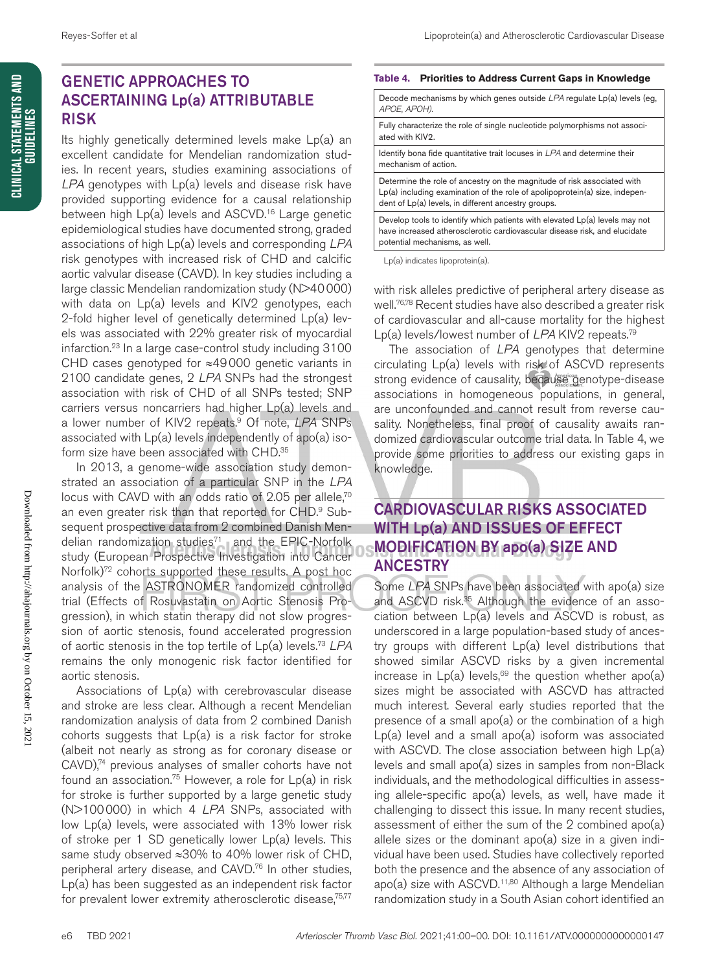CLINICAL STATEMENTS AND<br>Guidelines

### GENETIC APPROACHES TO ASCERTAINING Lp(a) ATTRIBUTABLE RISK

Its highly genetically determined levels make Lp(a) an excellent candidate for Mendelian randomization studies. In recent years, studies examining associations of *LPA* genotypes with Lp(a) levels and disease risk have provided supporting evidence for a causal relationship between high Lp(a) levels and ASCVD.<sup>16</sup> Large genetic epidemiological studies have documented strong, graded associations of high Lp(a) levels and corresponding *LPA* risk genotypes with increased risk of CHD and calcific aortic valvular disease (CAVD). In key studies including a large classic Mendelian randomization study (N>40000) with data on Lp(a) levels and KIV2 genotypes, each 2-fold higher level of genetically determined Lp(a) levels was associated with 22% greater risk of myocardial infarction.23 In a large case-control study including 3100 CHD cases genotyped for ≈49000 genetic variants in 2100 candidate genes, 2 *LPA* SNPs had the strongest association with risk of CHD of all SNPs tested; SNP carriers versus noncarriers had higher Lp(a) levels and a lower number of KIV2 repeats.9 Of note, *LPA* SNPs associated with Lp(a) levels independently of apo(a) isoform size have been associated with CHD.<sup>35</sup>

In 2013, a genome-wide association study demonstrated an association of a particular SNP in the *LPA* locus with CAVD with an odds ratio of 2.05 per allele,<sup>70</sup> an even greater risk than that reported for CHD.<sup>9</sup> Subsequent prospective data from 2 combined Danish Mendelian randomization studies $71$  and the EPIC-Norfolk study (European Prospective Investigation into Cancer Norfolk)<sup>72</sup> cohorts supported these results. A post hoc analysis of the ASTRONOMER randomized controlled trial (Effects of Rosuvastatin on Aortic Stenosis Progression), in which statin therapy did not slow progression of aortic stenosis, found accelerated progression of aortic stenosis in the top tertile of Lp(a) levels.73 *LPA* remains the only monogenic risk factor identified for aortic stenosis.

Associations of Lp(a) with cerebrovascular disease and stroke are less clear. Although a recent Mendelian randomization analysis of data from 2 combined Danish cohorts suggests that Lp(a) is a risk factor for stroke (albeit not nearly as strong as for coronary disease or CAVD),<sup>74</sup> previous analyses of smaller cohorts have not found an association.<sup>75</sup> However, a role for  $Lp(a)$  in risk for stroke is further supported by a large genetic study (N>100000) in which 4 *LPA* SNPs, associated with low Lp(a) levels, were associated with 13% lower risk of stroke per 1 SD genetically lower Lp(a) levels. This same study observed ≈30% to 40% lower risk of CHD, peripheral artery disease, and CAVD.<sup>76</sup> In other studies, Lp(a) has been suggested as an independent risk factor for prevalent lower extremity atherosclerotic disease,<sup>75,77</sup>

#### **Table 4. Priorities to Address Current Gaps in Knowledge**

| Decode mechanisms by which genes outside $LPA$ regulate $Lp(a)$ levels (eg.<br>APOE, APOH).                                                                                                                     |
|-----------------------------------------------------------------------------------------------------------------------------------------------------------------------------------------------------------------|
| Fully characterize the role of single nucleotide polymorphisms not associ-<br>ated with KIV2.                                                                                                                   |
| Identify bona fide quantitative trait locuses in LPA and determine their<br>mechanism of action.                                                                                                                |
| Determine the role of ancestry on the magnitude of risk associated with<br>$Lp(a)$ including examination of the role of apolipoprotein(a) size, indepen-<br>dent of Lp(a) levels, in different ancestry groups. |
| Develop tools to identify which patients with elevated Lp(a) levels may not<br>have increased atherosclerotic cardiovascular disease risk, and elucidate<br>potential mechanisms, as well.                      |

Lp(a) indicates lipoprotein(a).

with risk alleles predictive of peripheral artery disease as well.76,78 Recent studies have also described a greater risk of cardiovascular and all-cause mortality for the highest Lp(a) levels/lowest number of *LPA* KIV2 repeats.79

The association of *LPA* genotypes that determine circulating Lp(a) levels with risk of ASCVD represents strong evidence of causality, because genotype-disease associations in homogeneous populations, in general, are unconfounded and cannot result from reverse causality. Nonetheless, final proof of causality awaits randomized cardiovascular outcome trial data. In Table 4, we provide some priorities to address our existing gaps in knowledge.

### CARDIOVASCULAR RISKS ASSOCIATED WITH Lp(a) AND ISSUES OF EFFECT MODIFICATION BY apo(a) SIZE AND ANCESTRY

Some *LPA* SNPs have been associated with apo(a) size and ASCVD risk.<sup>35</sup> Although the evidence of an association between Lp(a) levels and ASCVD is robust, as underscored in a large population-based study of ancestry groups with different Lp(a) level distributions that showed similar ASCVD risks by a given incremental increase in  $Lp(a)$  levels,<sup>69</sup> the question whether apo(a) sizes might be associated with ASCVD has attracted much interest. Several early studies reported that the presence of a small apo(a) or the combination of a high Lp(a) level and a small apo(a) isoform was associated with ASCVD. The close association between high  $Lp(a)$ levels and small apo(a) sizes in samples from non-Black individuals, and the methodological difficulties in assessing allele-specific apo(a) levels, as well, have made it challenging to dissect this issue. In many recent studies, assessment of either the sum of the 2 combined apo(a) allele sizes or the dominant apo(a) size in a given individual have been used. Studies have collectively reported both the presence and the absence of any association of apo(a) size with ASCVD.<sup>11,80</sup> Although a large Mendelian randomization study in a South Asian cohort identified an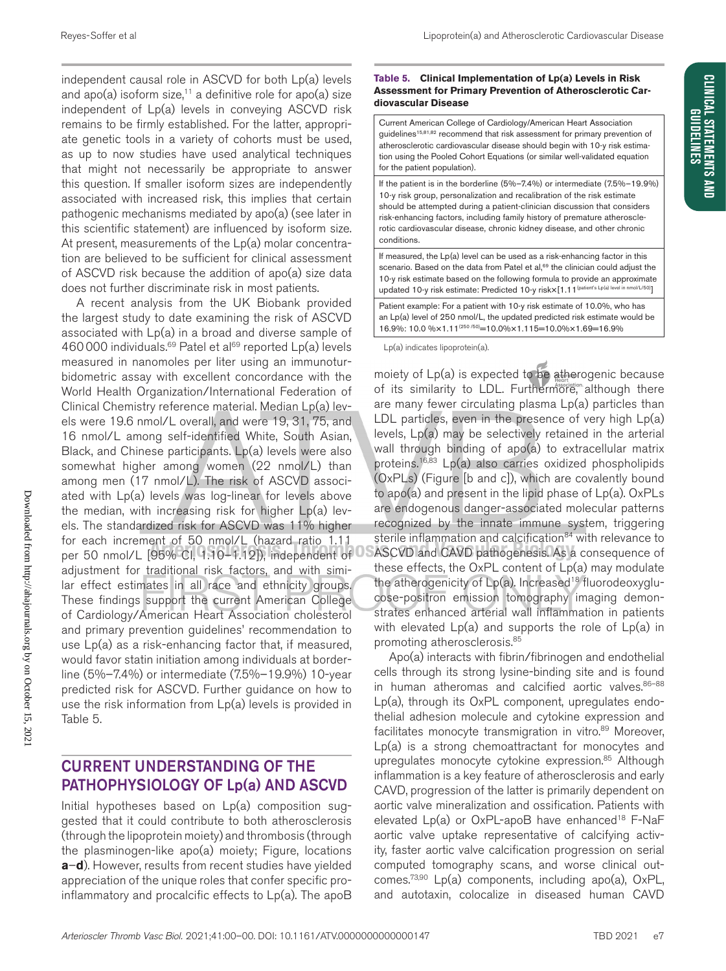**CLINICAL STATEMENTS AND GUIDELINES** 

independent causal role in ASCVD for both Lp(a) levels and apo(a) isoform size,<sup>11</sup> a definitive role for apo(a) size independent of Lp(a) levels in conveying ASCVD risk remains to be firmly established. For the latter, appropriate genetic tools in a variety of cohorts must be used, as up to now studies have used analytical techniques that might not necessarily be appropriate to answer this question. If smaller isoform sizes are independently associated with increased risk, this implies that certain pathogenic mechanisms mediated by apo(a) (see later in this scientific statement) are influenced by isoform size. At present, measurements of the Lp(a) molar concentration are believed to be sufficient for clinical assessment of ASCVD risk because the addition of apo(a) size data does not further discriminate risk in most patients.

A recent analysis from the UK Biobank provided the largest study to date examining the risk of ASCVD associated with Lp(a) in a broad and diverse sample of 460000 individuals.<sup>69</sup> Patel et al<sup>69</sup> reported Lp(a) levels measured in nanomoles per liter using an immunoturbidometric assay with excellent concordance with the World Health Organization/International Federation of Clinical Chemistry reference material. Median Lp(a) levels were 19.6 nmol/L overall, and were 19, 31, 75, and 16 nmol/L among self-identified White, South Asian, Black, and Chinese participants. Lp(a) levels were also somewhat higher among women (22 nmol/L) than among men (17 nmol/L). The risk of ASCVD associated with Lp(a) levels was log-linear for levels above the median, with increasing risk for higher Lp(a) levels. The standardized risk for ASCVD was 11% higher for each increment of 50 nmol/L (hazard ratio 1.11 per 50 nmol/L [95% CI, 1.10–1.12]), independent of adjustment for traditional risk factors, and with similar effect estimates in all race and ethnicity groups. These findings support the current American College of Cardiology/American Heart Association cholesterol and primary prevention guidelines' recommendation to use Lp(a) as a risk-enhancing factor that, if measured, would favor statin initiation among individuals at borderline (5%–7.4%) or intermediate (7.5%–19.9%) 10-year predicted risk for ASCVD. Further guidance on how to use the risk information from Lp(a) levels is provided in Table 5.

### CURRENT UNDERSTANDING OF THE PATHOPHYSIOLOGY OF Lp(a) AND ASCVD

Initial hypotheses based on Lp(a) composition suggested that it could contribute to both atherosclerosis (through the lipoprotein moiety) and thrombosis (through the plasminogen-like apo(a) moiety; Figure, locations **a**–**d**). However, results from recent studies have yielded appreciation of the unique roles that confer specific proinflammatory and procalcific effects to Lp(a). The apoB

### **Table 5. Clinical Implementation of Lp(a) Levels in Risk Assessment for Primary Prevention of Atherosclerotic Cardiovascular Disease**

Current American College of Cardiology/American Heart Association quidelines<sup>15,81,82</sup> recommend that risk assessment for primary prevention of atherosclerotic cardiovascular disease should begin with 10-y risk estimation using the Pooled Cohort Equations (or similar well-validated equation for the patient population).

If the patient is in the borderline (5%–7.4%) or intermediate (7.5%–19.9%) 10-y risk group, personalization and recalibration of the risk estimate should be attempted during a patient-clinician discussion that considers risk-enhancing factors, including family history of premature atherosclerotic cardiovascular disease, chronic kidney disease, and other chronic conditions.

If measured, the Lp(a) level can be used as a risk-enhancing factor in this scenario. Based on the data from Patel et al,<sup>69</sup> the clinician could adjust the 10-y risk estimate based on the following formula to provide an approximate updated 10-y risk estimate: Predicted 10-y risk×[1.11<sup>(patient's Lp(a) level in nmol/L/50)</sup>]

Patient example: For a patient with 10-y risk estimate of 10.0%, who has an Lp(a) level of 250 nmol/L, the updated predicted risk estimate would be 16.9%: 10.0 %×1.11(250 /50)=10.0%×1.115=10.0%×1.69=16.9%

Lp(a) indicates lipoprotein(a).

moiety of  $Lp(a)$  is expected to be atherogenic because of its similarity to LDL. Furthermore, although there are many fewer circulating plasma Lp(a) particles than LDL particles, even in the presence of very high Lp(a) levels, Lp(a) may be selectively retained in the arterial wall through binding of apo(a) to extracellular matrix proteins.<sup>16,83</sup> Lp(a) also carries oxidized phospholipids (OxPLs) (Figure [b and c]), which are covalently bound to apo(a) and present in the lipid phase of Lp(a). OxPLs are endogenous danger-associated molecular patterns recognized by the innate immune system, triggering sterile inflammation and calcification<sup>84</sup> with relevance to ASCVD and CAVD pathogenesis. As a consequence of these effects, the OxPL content of Lp(a) may modulate the atherogenicity of Lp(a). Increased<sup>18</sup> fluorodeoxyglucose-positron emission tomography imaging demonstrates enhanced arterial wall inflammation in patients with elevated Lp(a) and supports the role of Lp(a) in promoting atherosclerosis.85

Apo(a) interacts with fibrin/fibrinogen and endothelial cells through its strong lysine-binding site and is found in human atheromas and calcified aortic valves. 86-88 Lp(a), through its OxPL component, upregulates endothelial adhesion molecule and cytokine expression and facilitates monocyte transmigration in vitro.<sup>89</sup> Moreover, Lp(a) is a strong chemoattractant for monocytes and upregulates monocyte cytokine expression.<sup>85</sup> Although inflammation is a key feature of atherosclerosis and early CAVD, progression of the latter is primarily dependent on aortic valve mineralization and ossification. Patients with elevated Lp(a) or OxPL-apoB have enhanced<sup>18</sup> F-NaF aortic valve uptake representative of calcifying activity, faster aortic valve calcification progression on serial computed tomography scans, and worse clinical outcomes.73,90 Lp(a) components, including apo(a), OxPL, and autotaxin, colocalize in diseased human CAVD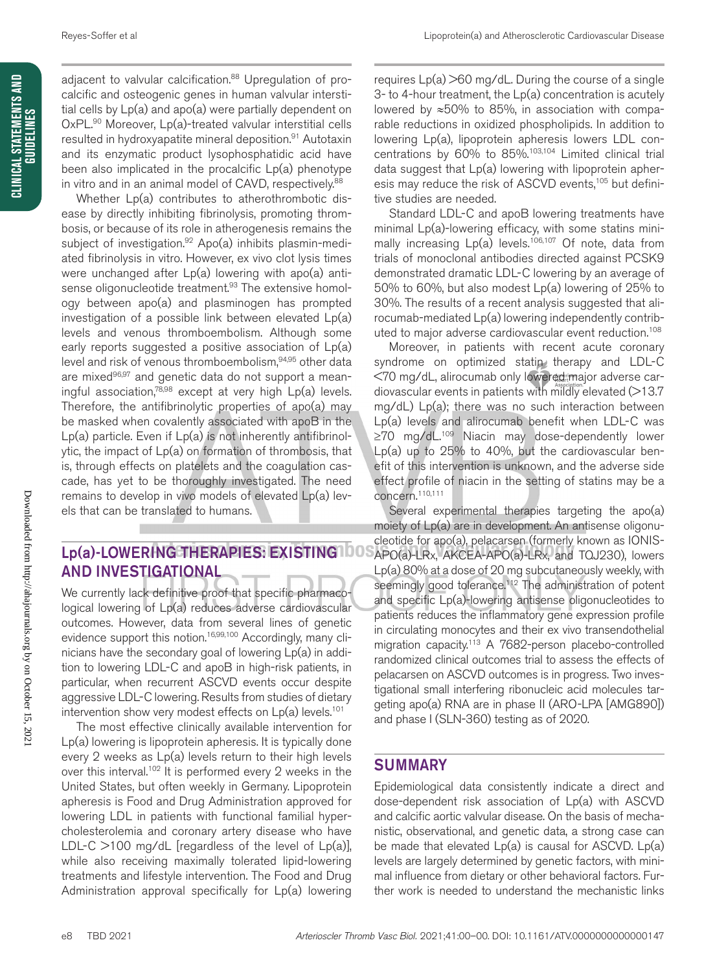adjacent to valvular calcification.<sup>88</sup> Upregulation of procalcific and osteogenic genes in human valvular interstitial cells by Lp(a) and apo(a) were partially dependent on OxPL.<sup>90</sup> Moreover, Lp(a)-treated valvular interstitial cells resulted in hydroxyapatite mineral deposition.<sup>91</sup> Autotaxin and its enzymatic product lysophosphatidic acid have been also implicated in the procalcific Lp(a) phenotype in vitro and in an animal model of CAVD, respectively.<sup>88</sup>

Whether Lp(a) contributes to atherothrombotic disease by directly inhibiting fibrinolysis, promoting thrombosis, or because of its role in atherogenesis remains the subject of investigation.<sup>92</sup> Apo(a) inhibits plasmin-mediated fibrinolysis in vitro. However, ex vivo clot lysis times were unchanged after Lp(a) lowering with apo(a) antisense oligonucleotide treatment.<sup>93</sup> The extensive homology between apo(a) and plasminogen has prompted investigation of a possible link between elevated Lp(a) levels and venous thromboembolism. Although some early reports suggested a positive association of Lp(a) level and risk of venous thromboembolism,94,95 other data are mixed<sup>96,97</sup> and genetic data do not support a meaningful association,78,98 except at very high Lp(a) levels. Therefore, the antifibrinolytic properties of apo(a) may be masked when covalently associated with apoB in the  $Lp(a)$  particle. Even if  $Lp(a)$  is not inherently antifibrinolytic, the impact of Lp(a) on formation of thrombosis, that is, through effects on platelets and the coagulation cascade, has yet to be thoroughly investigated. The need remains to develop in vivo models of elevated Lp(a) levels that can be translated to humans.

### Lp(a)-LOWERING THERAPIES: EXISTING AND INVESTIGATIONAL

We currently lack definitive proof that specific pharmacological lowering of Lp(a) reduces adverse cardiovascular outcomes. However, data from several lines of genetic evidence support this notion.<sup>16,99,100</sup> Accordingly, many clinicians have the secondary goal of lowering Lp(a) in addition to lowering LDL-C and apoB in high-risk patients, in particular, when recurrent ASCVD events occur despite aggressive LDL-C lowering. Results from studies of dietary intervention show very modest effects on  $Lp(a)$  levels.<sup>101</sup>

The most effective clinically available intervention for Lp(a) lowering is lipoprotein apheresis. It is typically done every 2 weeks as Lp(a) levels return to their high levels over this interval.<sup>102</sup> It is performed every 2 weeks in the United States, but often weekly in Germany. Lipoprotein apheresis is Food and Drug Administration approved for lowering LDL in patients with functional familial hypercholesterolemia and coronary artery disease who have LDL-C  $>100$  mg/dL [regardless of the level of  $Lp(a)$ ], while also receiving maximally tolerated lipid-lowering treatments and lifestyle intervention. The Food and Drug Administration approval specifically for Lp(a) lowering

requires  $Lp(a)$  >60 mg/dL. During the course of a single 3- to 4-hour treatment, the Lp(a) concentration is acutely lowered by ≈50% to 85%, in association with comparable reductions in oxidized phospholipids. In addition to lowering Lp(a), lipoprotein apheresis lowers LDL concentrations by 60% to 85%.103,104 Limited clinical trial data suggest that Lp(a) lowering with lipoprotein apheresis may reduce the risk of ASCVD events,<sup>105</sup> but definitive studies are needed.

Standard LDL-C and apoB lowering treatments have minimal Lp(a)-lowering efficacy, with some statins minimally increasing  $Lp(a)$  levels.<sup>106,107</sup> Of note, data from trials of monoclonal antibodies directed against PCSK9 demonstrated dramatic LDL-C lowering by an average of 50% to 60%, but also modest Lp(a) lowering of 25% to 30%. The results of a recent analysis suggested that alirocumab-mediated Lp(a) lowering independently contributed to major adverse cardiovascular event reduction.108

Moreover, in patients with recent acute coronary syndrome on optimized statin therapy and LDL-C <70 mg/dL, alirocumab only lowered major adverse cardiovascular events in patients with mildly elevated  $($ >13.7 mg/dL) Lp(a); there was no such interaction between Lp(a) levels and alirocumab benefit when LDL-C was ≥70 mg/dL.109 Niacin may dose-dependently lower Lp(a) up to 25% to 40%, but the cardiovascular benefit of this intervention is unknown, and the adverse side effect profile of niacin in the setting of statins may be a concern.110,111

Several experimental therapies targeting the apo(a) moiety of Lp(a) are in development. An antisense oligonucleotide for apo(a), pelacarsen (formerly known as IONIS-APO(a)-LRx, AKCEA-APO(a)-LRx, and TQJ230), lowers Lp(a) 80% at a dose of 20 mg subcutaneously weekly, with seemingly good tolerance.<sup>112</sup> The administration of potent and specific Lp(a)-lowering antisense oligonucleotides to patients reduces the inflammatory gene expression profile in circulating monocytes and their ex vivo transendothelial migration capacity.113 A 7682-person placebo-controlled randomized clinical outcomes trial to assess the effects of pelacarsen on ASCVD outcomes is in progress. Two investigational small interfering ribonucleic acid molecules targeting apo(a) RNA are in phase II (ARO-LPA [AMG890]) and phase I (SLN-360) testing as of 2020.

### **SUMMARY**

Epidemiological data consistently indicate a direct and dose-dependent risk association of Lp(a) with ASCVD and calcific aortic valvular disease. On the basis of mechanistic, observational, and genetic data, a strong case can be made that elevated Lp(a) is causal for ASCVD. Lp(a) levels are largely determined by genetic factors, with minimal influence from dietary or other behavioral factors. Further work is needed to understand the mechanistic links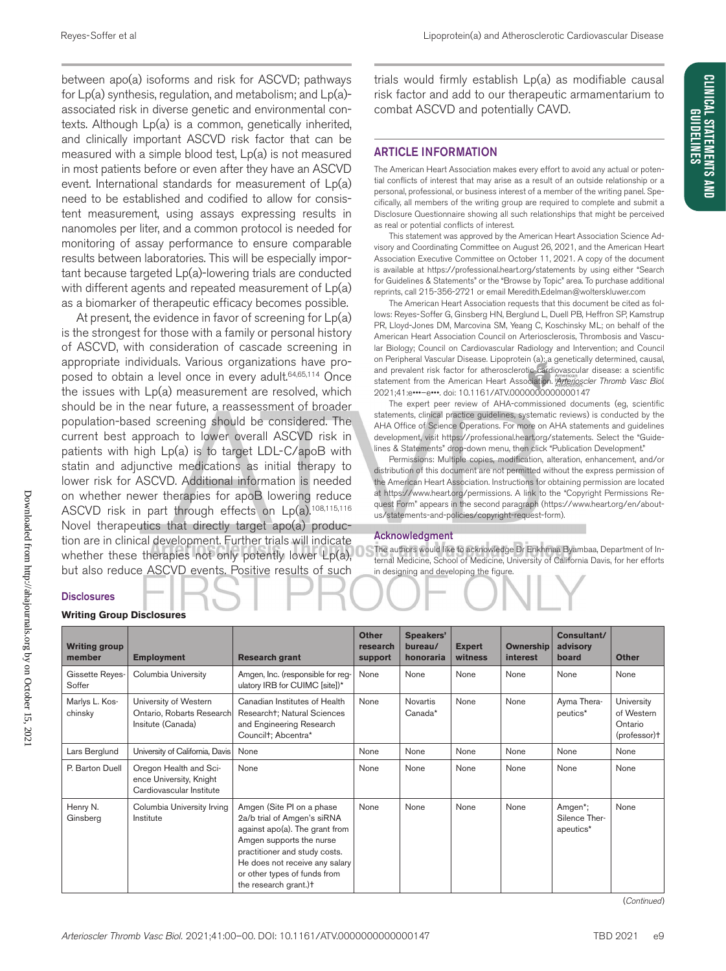between apo(a) isoforms and risk for ASCVD; pathways for Lp(a) synthesis, regulation, and metabolism; and Lp(a) associated risk in diverse genetic and environmental contexts. Although Lp(a) is a common, genetically inherited, and clinically important ASCVD risk factor that can be measured with a simple blood test, Lp(a) is not measured in most patients before or even after they have an ASCVD event. International standards for measurement of Lp(a) need to be established and codified to allow for consistent measurement, using assays expressing results in nanomoles per liter, and a common protocol is needed for monitoring of assay performance to ensure comparable results between laboratories. This will be especially important because targeted Lp(a)-lowering trials are conducted with different agents and repeated measurement of  $Lp(a)$ as a biomarker of therapeutic efficacy becomes possible.

At present, the evidence in favor of screening for Lp(a) is the strongest for those with a family or personal history of ASCVD, with consideration of cascade screening in appropriate individuals. Various organizations have proposed to obtain a level once in every adult.<sup>64,65,114</sup> Once the issues with Lp(a) measurement are resolved, which should be in the near future, a reassessment of broader population-based screening should be considered. The current best approach to lower overall ASCVD risk in patients with high Lp(a) is to target LDL-C/apoB with statin and adjunctive medications as initial therapy to lower risk for ASCVD. Additional information is needed on whether newer therapies for apoB lowering reduce ASCVD risk in part through effects on Lp(a).108,115,116 Novel therapeutics that directly target apo(a) production are in clinical development. Further trials will indicate whether these therapies not only potently lower Lp(a), but also reduce ASCVD events. Positive results of such

trials would firmly establish Lp(a) as modifiable causal risk factor and add to our therapeutic armamentarium to combat ASCVD and potentially CAVD.

### ARTICLE INFORMATION

The American Heart Association makes every effort to avoid any actual or potential conflicts of interest that may arise as a result of an outside relationship or a personal, professional, or business interest of a member of the writing panel. Specifically, all members of the writing group are required to complete and submit a Disclosure Questionnaire showing all such relationships that might be perceived as real or potential conflicts of interest.

This statement was approved by the American Heart Association Science Advisory and Coordinating Committee on August 26, 2021, and the American Heart Association Executive Committee on October 11, 2021. A copy of the document is available at https://professional.heart.org/statements by using either "Search for Guidelines & Statements" or the "Browse by Topic" area. To purchase additional reprints, call 215-356-2721 or email Meredith.Edelman@wolterskluwer.com

The American Heart Association requests that this document be cited as follows: Reyes-Soffer G, Ginsberg HN, Berglund L, Duell PB, Heffron SP, Kamstrup PR, Lloyd-Jones DM, Marcovina SM, Yeang C, Koschinsky ML; on behalf of the American Heart Association Council on Arteriosclerosis, Thrombosis and Vascular Biology; Council on Cardiovascular Radiology and Intervention; and Council on Peripheral Vascular Disease. Lipoprotein (a): a genetically determined, causal, and prevalent risk factor for atherosclerotic cardiovascular disease: a scientific statement from the American Heart Association. *Arterioscler Thromb Vasc Biol*. 2021;41:e•••–e•••. doi: 10.1161/ATV.0000000000000147

The expert peer review of AHA-commissioned documents (eg, scientific statements, clinical practice guidelines, systematic reviews) is conducted by the AHA Office of Science Operations. For more on AHA statements and guidelines development, visit https://professional.heart.org/statements. Select the "Guidelines & Statements" drop-down menu, then click "Publication Development."

Permissions: Multiple copies, modification, alteration, enhancement, and/or distribution of this document are not permitted without the express permission of the American Heart Association. Instructions for obtaining permission are located at https://www.heart.org/permissions. A link to the "Copyright Permissions Request Form" appears in the second paragraph (https://www.heart.org/en/aboutus/statements-and-policies/copyright-request-form).

#### Acknowledgment

The authors would like to acknowledge Dr Enkhmaa Byambaa, Department of Internal Medicine, School of Medicine, University of California Davis, for her efforts in designing and developing the figure.

### **Writing Group Disclosures Disclosures**

| <b>Writing group</b><br>member | <b>Employment</b>                                                             | <b>Research grant</b>                                                                                                                                                                                                                              | <b>Other</b><br>research<br>support | Speakers'<br>bureau/<br>honoraria | <b>Expert</b><br>witness | Ownership<br><b>interest</b> | Consultant/<br>advisory<br>board      | <b>Other</b>                                        |
|--------------------------------|-------------------------------------------------------------------------------|----------------------------------------------------------------------------------------------------------------------------------------------------------------------------------------------------------------------------------------------------|-------------------------------------|-----------------------------------|--------------------------|------------------------------|---------------------------------------|-----------------------------------------------------|
| Gissette Reyes-<br>Soffer      | Columbia University                                                           | Amgen, Inc. (responsible for reg-<br>ulatory IRB for CUIMC [site])*                                                                                                                                                                                | None                                | None                              | None                     | None                         | None                                  | None                                                |
| Marlys L. Kos-<br>chinsky      | University of Western<br>Ontario, Robarts Research<br>Insitute (Canada)       | Canadian Institutes of Health<br>Researcht; Natural Sciences<br>and Engineering Research<br>Councilt; Abcentra*                                                                                                                                    | None                                | <b>Novartis</b><br>Canada*        | None                     | None                         | Ayma Thera-<br>peutics*               | University<br>of Western<br>Ontario<br>(professor)t |
| Lars Berglund                  | University of California, Davis                                               | None                                                                                                                                                                                                                                               | None                                | None                              | None                     | None                         | None                                  | None                                                |
| P. Barton Duell                | Oregon Health and Sci-<br>ence University, Knight<br>Cardiovascular Institute | None                                                                                                                                                                                                                                               | None                                | None                              | None                     | None                         | None                                  | None                                                |
| Henry N.<br>Ginsberg           | Columbia University Irving<br>Institute                                       | Amgen (Site PI on a phase<br>2a/b trial of Amgen's siRNA<br>against apo(a). The grant from<br>Amgen supports the nurse<br>practitioner and study costs.<br>He does not receive any salary<br>or other types of funds from<br>the research grant.)t | None                                | None                              | None                     | None                         | Amgen*;<br>Silence Ther-<br>apeutics* | None                                                |

(*Continued*)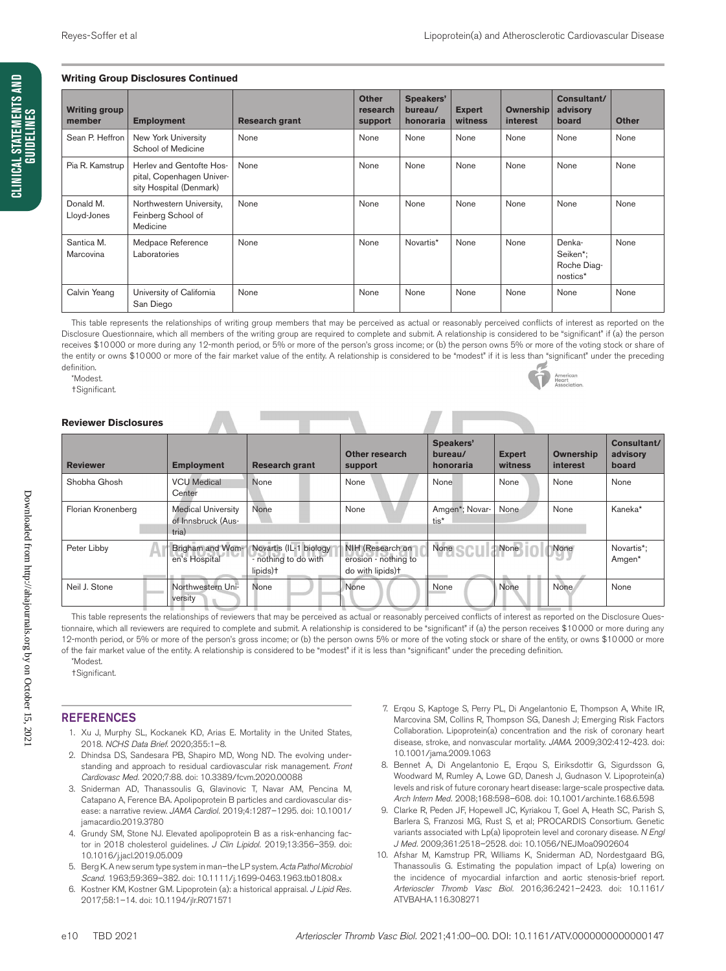#### **Writing Group Disclosures Continued**

| <b>Writing group</b><br>member | <b>Employment</b>                                                                | <b>Research grant</b> | <b>Other</b><br>research<br>support | Speakers'<br>bureau/<br>honoraria | <b>Expert</b><br>witness | <b>Ownership</b><br><b>interest</b> | Consultant/<br>advisory<br>board              | <b>Other</b> |
|--------------------------------|----------------------------------------------------------------------------------|-----------------------|-------------------------------------|-----------------------------------|--------------------------|-------------------------------------|-----------------------------------------------|--------------|
| Sean P. Heffron                | New York University<br>School of Medicine                                        | None                  | None                                | None                              | None                     | None                                | None                                          | None         |
| Pia R. Kamstrup                | Herlev and Gentofte Hos-<br>pital, Copenhagen Univer-<br>sity Hospital (Denmark) | None                  | None                                | None                              | None                     | None                                | None                                          | None         |
| Donald M.<br>Lloyd-Jones       | Northwestern University,<br>Feinberg School of<br>Medicine                       | None                  | None                                | None                              | None                     | None                                | None                                          | None         |
| Santica M.<br>Marcovina        | Medpace Reference<br>Laboratories                                                | None                  | None                                | Novartis*                         | None                     | None                                | Denka-<br>Seiken*;<br>Roche Diag-<br>nostics* | None         |
| Calvin Yeang                   | University of California<br>San Diego                                            | None                  | None                                | None                              | None                     | None                                | None                                          | None         |

This table represents the relationships of writing group members that may be perceived as actual or reasonably perceived conflicts of interest as reported on the Disclosure Questionnaire, which all members of the writing group are required to complete and submit. A relationship is considered to be "significant" if (a) the person receives \$10000 or more during any 12-month period, or 5% or more of the person's gross income; or (b) the person owns 5% or more of the voting stock or share of the entity or owns \$10000 or more of the fair market value of the entity. A relationship is considered to be "modest" if it is less than "significant" under the preceding definition.

\*Modest.

†Significant.



#### **Reviewer Disclosures**

| <b>Reviewer</b>    | <b>Employment</b>                                        | <b>Research grant</b>                                       | <b>Other research</b><br>support                             | <b>Speakers'</b><br>bureau/<br>honoraria | <b>Expert</b><br>witness | <b>Ownership</b><br>interest | Consultant/<br>advisory<br>board |
|--------------------|----------------------------------------------------------|-------------------------------------------------------------|--------------------------------------------------------------|------------------------------------------|--------------------------|------------------------------|----------------------------------|
| Shobha Ghosh       | <b>VCU</b> Medical<br>Center                             | None                                                        | None                                                         | None                                     | None                     | None                         | None                             |
| Florian Kronenberg | <b>Medical University</b><br>of Innsbruck (Aus-<br>tria) | None                                                        | None                                                         | Amgen*; Novar-<br>tis*                   | None                     | None                         | Kaneka*                          |
| Peter Libby        | Brigham and Wom-<br>en's Hospital                        | Novartis (IL-1 biology)<br>- nothing to do with<br>lipids)+ | NIH (Research on<br>erosion - nothing to<br>do with lipids)t | None                                     | None                     | None<br>ึงง                  | Novartis*;<br>Amgen*             |
| Neil J. Stone      | Northwestern Uni-<br>versity                             | None                                                        | None                                                         | None                                     | None                     | None                         | None                             |

This table represents the relationships of reviewers that may be perceived as actual or reasonably perceived conflicts of interest as reported on the Disclosure Questionnaire, which all reviewers are required to complete and submit. A relationship is considered to be "significant" if (a) the person receives \$10000 or more during any 12-month period, or 5% or more of the person's gross income; or (b) the person owns 5% or more of the voting stock or share of the entity, or owns \$10000 or more of the fair market value of the entity. A relationship is considered to be "modest" if it is less than "significant" under the preceding definition.

\*Modest. †Significant.

### REFERENCES

- 1. Xu J, Murphy SL, Kockanek KD, Arias E. Mortality in the United States, 2018. *NCHS Data Brief*. 2020;355:1–8.
- 2. Dhindsa DS, Sandesara PB, Shapiro MD, Wong ND. The evolving understanding and approach to residual cardiovascular risk management. *Front Cardiovasc Med.* 2020;7:88. doi: 10.3389/fcvm.2020.00088
- 3. Sniderman AD, Thanassoulis G, Glavinovic T, Navar AM, Pencina M, Catapano A, Ference BA. Apolipoprotein B particles and cardiovascular disease: a narrative review. *JAMA Cardiol.* 2019;4:1287–1295. doi: 10.1001/ jamacardio.2019.3780
- 4. Grundy SM, Stone NJ. Elevated apolipoprotein B as a risk-enhancing factor in 2018 cholesterol guidelines. *J Clin Lipidol.* 2019;13:356–359. doi: 10.1016/j.jacl.2019.05.009
- 5. Berg K. A new serum type system in man–the LP system. *Acta Pathol Microbiol Scand.* 1963;59:369–382. doi: 10.1111/j.1699-0463.1963.tb01808.x
- 6. Kostner KM, Kostner GM. Lipoprotein (a): a historical appraisal. *J Lipid Res.* 2017;58:1–14. doi: 10.1194/jlr.R071571
- 7. Erqou S, Kaptoge S, Perry PL, Di Angelantonio E, Thompson A, White IR, Marcovina SM, Collins R, Thompson SG, Danesh J; Emerging Risk Factors Collaboration. Lipoprotein(a) concentration and the risk of coronary heart disease, stroke, and nonvascular mortality. *JAMA*. 2009;302:412-423. doi: 10.1001/jama.2009.1063
- 8. Bennet A, Di Angelantonio E, Erqou S, Eiriksdottir G, Sigurdsson G, Woodward M, Rumley A, Lowe GD, Danesh J, Gudnason V. Lipoprotein(a) levels and risk of future coronary heart disease: large-scale prospective data. *Arch Intern Med.* 2008;168:598–608. doi: 10.1001/archinte.168.6.598
- 9. Clarke R, Peden JF, Hopewell JC, Kyriakou T, Goel A, Heath SC, Parish S, Barlera S, Franzosi MG, Rust S, et al; PROCARDIS Consortium. Genetic variants associated with Lp(a) lipoprotein level and coronary disease. *N Engl J Med.* 2009;361:2518–2528. doi: 10.1056/NEJMoa0902604
- 10. Afshar M, Kamstrup PR, Williams K, Sniderman AD, Nordestgaard BG, Thanassoulis G. Estimating the population impact of Lp(a) lowering on the incidence of myocardial infarction and aortic stenosis-brief report. *Arterioscler Thromb Vasc Biol.* 2016;36:2421–2423. doi: 10.1161/ ATVBAHA.116.308271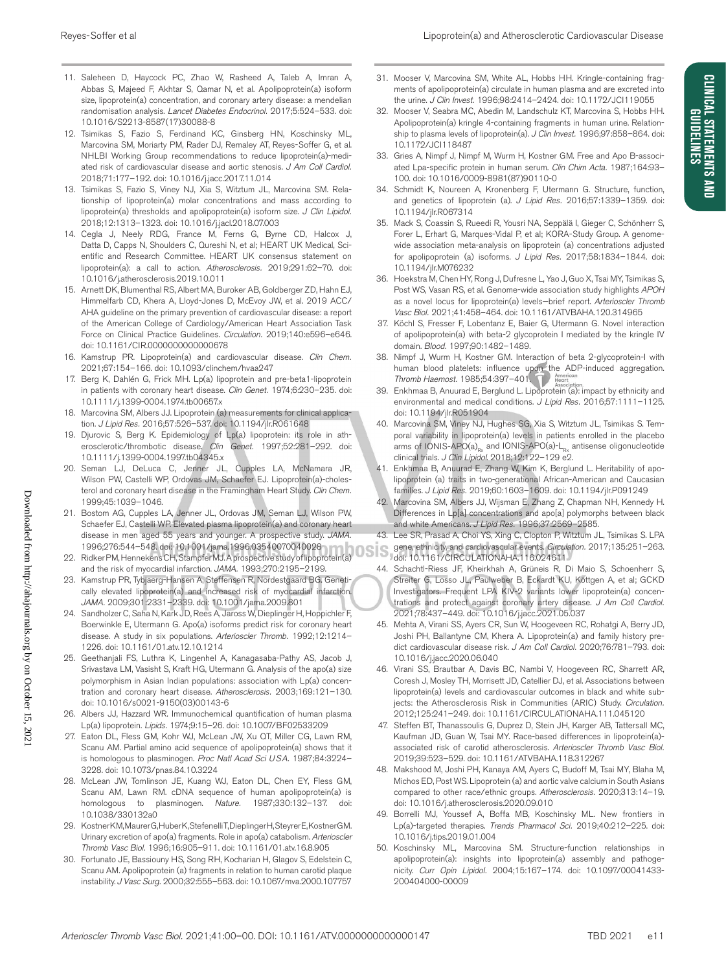CLINICAL STATEMENTS AND **GUIDELINES** 

- 11. Saleheen D, Haycock PC, Zhao W, Rasheed A, Taleb A, Imran A, Abbas S, Majeed F, Akhtar S, Qamar N, et al. Apolipoprotein(a) isoform size, lipoprotein(a) concentration, and coronary artery disease: a mendelian randomisation analysis. *Lancet Diabetes Endocrinol.* 2017;5:524–533. doi: 10.1016/S2213-8587(17)30088-8
- 12. Tsimikas S, Fazio S, Ferdinand KC, Ginsberg HN, Koschinsky ML, Marcovina SM, Moriarty PM, Rader DJ, Remaley AT, Reyes-Soffer G, et al. NHLBI Working Group recommendations to reduce lipoprotein(a)-mediated risk of cardiovascular disease and aortic stenosis. *J Am Coll Cardiol.* 2018;71:177–192. doi: 10.1016/j.jacc.2017.11.014
- 13. Tsimikas S, Fazio S, Viney NJ, Xia S, Witztum JL, Marcovina SM. Relationship of lipoprotein(a) molar concentrations and mass according to lipoprotein(a) thresholds and apolipoprotein(a) isoform size. *J Clin Lipidol.* 2018;12:1313–1323. doi: 10.1016/j.jacl.2018.07.003
- 14. Cegla J, Neely RDG, France M, Ferns G, Byrne CD, Halcox J, Datta D, Capps N, Shoulders C, Qureshi N, et al; HEART UK Medical, Scientific and Research Committee. HEART UK consensus statement on lipoprotein(a): a call to action. *Atherosclerosis.* 2019;291:62–70. doi: 10.1016/j.atherosclerosis.2019.10.011
- 15. Arnett DK, Blumenthal RS, Albert MA, Buroker AB, Goldberger ZD, Hahn EJ, Himmelfarb CD, Khera A, Lloyd-Jones D, McEvoy JW, et al. 2019 ACC/ AHA guideline on the primary prevention of cardiovascular disease: a report of the American College of Cardiology/American Heart Association Task Force on Clinical Practice Guidelines. *Circulation.* 2019;140:e596–e646. doi: 10.1161/CIR.0000000000000678
- 16. Kamstrup PR. Lipoprotein(a) and cardiovascular disease. *Clin Chem.* 2021;67:154–166. doi: 10.1093/clinchem/hvaa247
- 17. Berg K, Dahlén G, Frick MH. Lp(a) lipoprotein and pre-beta1-lipoprotein in patients with coronary heart disease. *Clin Genet.* 1974;6:230–235. doi: 10.1111/j.1399-0004.1974.tb00657.x
- 18. Marcovina SM, Albers JJ. Lipoprotein (a) measurements for clinical application. *J Lipid Res.* 2016;57:526–537. doi: 10.1194/jlr.R061648
- 19. Djurovic S, Berg K. Epidemiology of Lp(a) lipoprotein: its role in atherosclerotic/thrombotic disease. *Clin Genet.* 1997;52:281–292. doi: 10.1111/j.1399-0004.1997.tb04345.x
- 20. Seman LJ, DeLuca C, Jenner JL, Cupples LA, McNamara JR, Wilson PW, Castelli WP, Ordovas JM, Schaefer EJ. Lipoprotein(a)-cholesterol and coronary heart disease in the Framingham Heart Study. *Clin Chem.* 1999;45:1039–1046.
- 21. Bostom AG, Cupples LA, Jenner JL, Ordovas JM, Seman LJ, Wilson PW, Schaefer EJ, Castelli WP. Elevated plasma lipoprotein(a) and coronary heart disease in men aged 55 years and younger. A prospective study. *JAMA.* 1996;276:544–548. doi: 10.1001/jama.1996.03540070040028
- 22. Ridker PM, Hennekens CH, Stampfer MJ. A prospective study of lipoprotein(a) and the risk of myocardial infarction. *JAMA.* 1993;270:2195–2199.
- 23. Kamstrup PR, Tybjaerg-Hansen A, Steffensen R, Nordestgaard BG. Genetically elevated lipoprotein(a) and increased risk of myocardial infarction. *JAMA.* 2009;301:2331–2339. doi: 10.1001/jama.2009.801
- 24. Sandholzer C, Saha N, Kark JD, Rees A, Jaross W, Dieplinger H, Hoppichler F, Boerwinkle E, Utermann G. Apo(a) isoforms predict risk for coronary heart disease. A study in six populations. *Arterioscler Thromb.* 1992;12:1214– 1226. doi: 10.1161/01.atv.12.10.1214
- 25. Geethanjali FS, Luthra K, Lingenhel A, Kanagasaba-Pathy AS, Jacob J, Srivastava LM, Vasisht S, Kraft HG, Utermann G. Analysis of the apo(a) size polymorphism in Asian Indian populations: association with Lp(a) concentration and coronary heart disease. *Atherosclerosis.* 2003;169:121–130. doi: 10.1016/s0021-9150(03)00143-6
- 26. Albers JJ, Hazzard WR. Immunochemical quantification of human plasma Lp(a) lipoprotein. *Lipids.* 1974;9:15–26. doi: 10.1007/BF02533209
- 27. Eaton DL, Fless GM, Kohr WJ, McLean JW, Xu QT, Miller CG, Lawn RM, Scanu AM. Partial amino acid sequence of apolipoprotein(a) shows that it is homologous to plasminogen. *Proc Natl Acad Sci USA.* 1987;84:3224– 3228. doi: 10.1073/pnas.84.10.3224
- 28. McLean JW, Tomlinson JE, Kuang WJ, Eaton DL, Chen EY, Fless GM, Scanu AM, Lawn RM. cDNA sequence of human apolipoprotein(a) is homologous to plasminogen. *Nature.* 1987;330:132–137. doi: 10.1038/330132a0
- 29. Kostner KM, Maurer G, Huber K, Stefenelli T, Dieplinger H, Steyrer E, Kostner GM. Urinary excretion of apo(a) fragments. Role in apo(a) catabolism. *Arterioscler Thromb Vasc Biol.* 1996;16:905–911. doi: 10.1161/01.atv.16.8.905
- 30. Fortunato JE, Bassiouny HS, Song RH, Kocharian H, Glagov S, Edelstein C, Scanu AM. Apolipoprotein (a) fragments in relation to human carotid plaque instability. *J Vasc Surg.* 2000;32:555–563. doi: 10.1067/mva.2000.107757
- 31. Mooser V, Marcovina SM, White AL, Hobbs HH. Kringle-containing fragments of apolipoprotein(a) circulate in human plasma and are excreted into the urine. *J Clin Invest.* 1996;98:2414–2424. doi: 10.1172/JCI119055
- 32. Mooser V, Seabra MC, Abedin M, Landschulz KT, Marcovina S, Hobbs HH. Apolipoprotein(a) kringle 4-containing fragments in human urine. Relationship to plasma levels of lipoprotein(a). *J Clin Invest.* 1996;97:858–864. doi: 10.1172/JCI118487
- 33. Gries A, Nimpf J, Nimpf M, Wurm H, Kostner GM. Free and Apo B-associated Lpa-specific protein in human serum. *Clin Chim Acta.* 1987;164:93– 100. doi: 10.1016/0009-8981(87)90110-0
- 34. Schmidt K, Noureen A, Kronenberg F, Utermann G. Structure, function, and genetics of lipoprotein (a). *J Lipid Res.* 2016;57:1339–1359. doi: 10.1194/jlr.R067314
- 35. Mack S, Coassin S, Rueedi R, Yousri NA, Seppälä I, Gieger C, Schönherr S, Forer L, Erhart G, Marques-Vidal P, et al; KORA-Study Group. A genomewide association meta-analysis on lipoprotein (a) concentrations adjusted for apolipoprotein (a) isoforms. *J Lipid Res.* 2017;58:1834–1844. doi: 10.1194/jlr.M076232
- 36. Hoekstra M, Chen HY, Rong J, Dufresne L, Yao J, Guo X, Tsai MY, Tsimikas S, Post WS, Vasan RS, et al. Genome-wide association study highlights *APOH* as a novel locus for lipoprotein(a) levels—brief report. *Arterioscler Thromb Vasc Biol.* 2021;41:458–464. doi: 10.1161/ATVBAHA.120.314965
- 37. Köchl S, Fresser F, Lobentanz E, Baier G, Utermann G. Novel interaction of apolipoprotein(a) with beta-2 glycoprotein I mediated by the kringle IV domain. *Blood.* 1997;90:1482–1489.
- 38. Nimpf J, Wurm H, Kostner GM. Interaction of beta 2-glycoprotein-I with human blood platelets: influence upon the ADP-induced aggregation. *Thromb Haemost.* 1985;54:397–401.
- 39. Enkhmaa B, Anuurad E, Berglund L. Lipoprotein (a): impact by ethnicity and environmental and medical conditions. *J Lipid Res.* 2016;57:1111–1125. doi: 10.1194/jlr.R051904
- 40. Marcovina SM, Viney NJ, Hughes SG, Xia S, Witztum JL, Tsimikas S. Temporal variability in lipoprotein(a) levels in patients enrolled in the placebo arms of IONIS-APO(a)<sub>Rx</sub> and IONIS-APO(a)- $L_{R_x}$  antisense oligonucleotide clinical trials. *J Clin Lipidol*. 2018;12:122–129 e2.
- 41. Enkhmaa B, Anuurad E, Zhang W, Kim K, Berglund L. Heritability of apolipoprotein (a) traits in two-generational African-American and Caucasian families. *J Lipid Res.* 2019;60:1603–1609. doi: 10.1194/jlr.P091249
- 42. Marcovina SM, Albers JJ, Wijsman E, Zhang Z, Chapman NH, Kennedy H. Differences in Lp[a] concentrations and apo[a] polymorphs between black and white Americans. *J Lipid Res.* 1996;37:2569–2585.
- 43. Lee SR, Prasad A, Choi YS, Xing C, Clopton P, Witztum JL, Tsimikas S. LPA gene, ethnicity, and cardiovascular events. *Circulation.* 2017;135:251–263. doi: 10.1161/CIRCULATIONAHA.116.024611
- 44. Schachtl-Riess JF, Kheirkhah A, Grüneis R, Di Maio S, Schoenherr S, Streiter G, Losso JL, Paulweber B, Eckardt KU, Köttgen A, et al; GCKD Investigators. Frequent LPA KIV-2 variants lower lipoprotein(a) concentrations and protect against coronary artery disease. *J Am Coll Cardiol.* 2021;78:437–449. doi: 10.1016/j.jacc.2021.05.037
- 45. Mehta A, Virani SS, Ayers CR, Sun W, Hoogeveen RC, Rohatgi A, Berry JD, Joshi PH, Ballantyne CM, Khera A. Lipoprotein(a) and family history predict cardiovascular disease risk. *J Am Coll Cardiol.* 2020;76:781–793. doi: 10.1016/j.jacc.2020.06.040
- 46. Virani SS, Brautbar A, Davis BC, Nambi V, Hoogeveen RC, Sharrett AR, Coresh J, Mosley TH, Morrisett JD, Catellier DJ, et al. Associations between lipoprotein(a) levels and cardiovascular outcomes in black and white subjects: the Atherosclerosis Risk in Communities (ARIC) Study. *Circulation.* 2012;125:241–249. doi: 10.1161/CIRCULATIONAHA.111.045120
- 47. Steffen BT, Thanassoulis G, Duprez D, Stein JH, Karger AB, Tattersall MC, Kaufman JD, Guan W, Tsai MY. Race-based differences in lipoprotein(a) associated risk of carotid atherosclerosis. *Arterioscler Thromb Vasc Biol.* 2019;39:523–529. doi: 10.1161/ATVBAHA.118.312267
- 48. Makshood M, Joshi PH, Kanaya AM, Ayers C, Budoff M, Tsai MY, Blaha M, Michos ED, Post WS. Lipoprotein (a) and aortic valve calcium in South Asians compared to other race/ethnic groups. *Atherosclerosis.* 2020;313:14–19. doi: 10.1016/j.atherosclerosis.2020.09.010
- 49. Borrelli MJ, Youssef A, Boffa MB, Koschinsky ML. New frontiers in Lp(a)-targeted therapies. *Trends Pharmacol Sci.* 2019;40:212–225. doi: 10.1016/j.tips.2019.01.004
- 50. Koschinsky ML, Marcovina SM. Structure-function relationships in apolipoprotein(a): insights into lipoprotein(a) assembly and pathogenicity. *Curr Opin Lipidol.* 2004;15:167–174. doi: 10.1097/00041433- 200404000-00009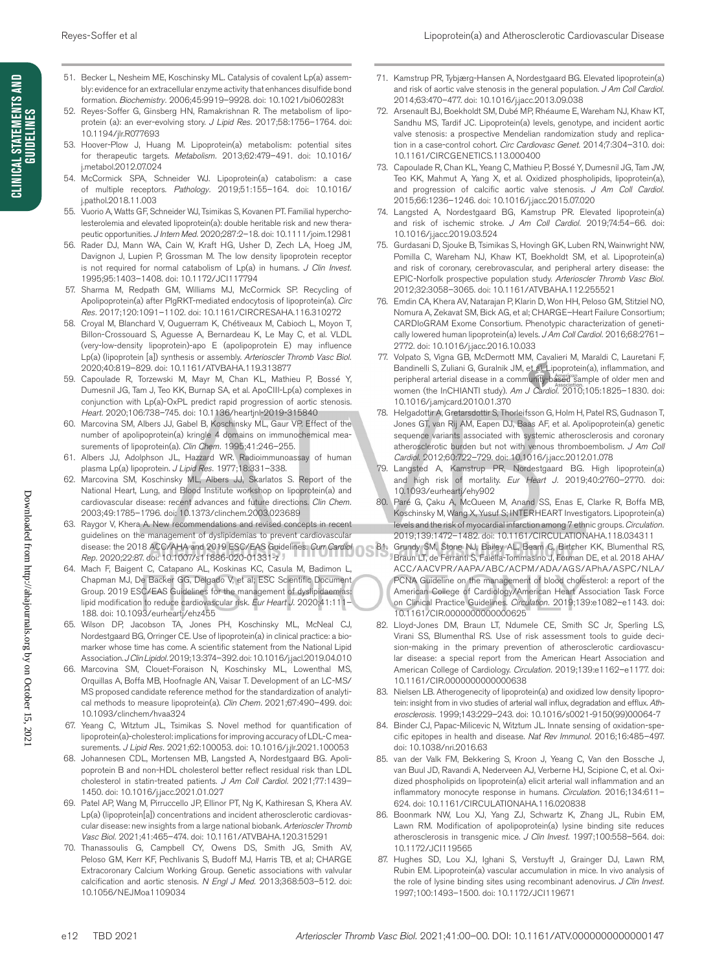- 51. Becker L, Nesheim ME, Koschinsky ML. Catalysis of covalent Lp(a) assembly: evidence for an extracellular enzyme activity that enhances disulfide bond formation. *Biochemistry.* 2006;45:9919–9928. doi: 10.1021/bi060283t
- 52. Reyes-Soffer G, Ginsberg HN, Ramakrishnan R. The metabolism of lipoprotein (a): an ever-evolving story. *J Lipid Res.* 2017;58:1756–1764. doi: 10.1194/jlr.R077693
- 53. Hoover-Plow J, Huang M. Lipoprotein(a) metabolism: potential sites for therapeutic targets. *Metabolism.* 2013;62:479–491. doi: 10.1016/ j.metabol.2012.07.024
- 54. McCormick SPA, Schneider WJ. Lipoprotein(a) catabolism: a case of multiple receptors. *Pathology.* 2019;51:155–164. doi: 10.1016/ j.pathol.2018.11.003
- 55. Vuorio A, Watts GF, Schneider WJ, Tsimikas S, Kovanen PT. Familial hypercholesterolemia and elevated lipoprotein(a): double heritable risk and new therapeutic opportunities. *J Intern Med.* 2020;287:2–18. doi: 10.1111/joim.12981
- 56. Rader DJ, Mann WA, Cain W, Kraft HG, Usher D, Zech LA, Hoeg JM, Davignon J, Lupien P, Grossman M. The low density lipoprotein receptor is not required for normal catabolism of Lp(a) in humans. *J Clin Invest.* 1995;95:1403–1408. doi: 10.1172/JCI117794
- 57. Sharma M, Redpath GM, Williams MJ, McCormick SP. Recycling of Apolipoprotein(a) after PlgRKT-mediated endocytosis of lipoprotein(a). *Circ Res.* 2017;120:1091–1102. doi: 10.1161/CIRCRESAHA.116.310272
- 58. Croyal M, Blanchard V, Ouguerram K, Chétiveaux M, Cabioch L, Moyon T, Billon-Crossouard S, Aguesse A, Bernardeau K, Le May C, et al. VLDL (very-low-density lipoprotein)-apo E (apolipoprotein E) may influence Lp(a) (lipoprotein [a]) synthesis or assembly. *Arterioscler Thromb Vasc Biol.* 2020;40:819–829. doi: 10.1161/ATVBAHA.119.313877
- 59. Capoulade R, Torzewski M, Mayr M, Chan KL, Mathieu P, Bossé Y, Dumesnil JG, Tam J, Teo KK, Burnap SA, et al. ApoCIII-Lp(a) complexes in conjunction with Lp(a)-OxPL predict rapid progression of aortic stenosis. *Heart.* 2020;106:738–745. doi: 10.1136/heartjnl-2019-315840
- 60. Marcovina SM, Albers JJ, Gabel B, Koschinsky ML, Gaur VP. Effect of the number of apolipoprotein(a) kringle 4 domains on immunochemical measurements of lipoprotein(a). *Clin Chem.* 1995;41:246–255.
- 61. Albers JJ, Adolphson JL, Hazzard WR. Radioimmunoassay of human plasma Lp(a) lipoprotein. *J Lipid Res.* 1977;18:331–338.
- 62. Marcovina SM, Koschinsky ML, Albers JJ, Skarlatos S. Report of the National Heart, Lung, and Blood Institute workshop on lipoprotein(a) and cardiovascular disease: recent advances and future directions. *Clin Chem.* 2003;49:1785–1796. doi: 10.1373/clinchem.2003.023689
- 63. Raygor V, Khera A. New recommendations and revised concepts in recent guidelines on the management of dyslipidemias to prevent cardiovascular disease: the 2018 ACC/AHA and 2019 ESC/EAS Guidelines. *Curr Cardiol Rep.* 2020;22:87. doi: 10.1007/s11886-020-01331-z
- 64. Mach F, Baigent C, Catapano AL, Koskinas KC, Casula M, Badimon L, Chapman MJ, De Backer GG, Delgado V, et al; ESC Scientific Document Group. 2019 ESC/EAS Guidelines for the management of dyslipidaemias: lipid modification to reduce cardiovascular risk. *Eur Heart J.* 2020;41:111– 188. doi: 10.1093/eurheartj/ehz455
- 65. Wilson DP, Jacobson TA, Jones PH, Koschinsky ML, McNeal CJ, Nordestgaard BG, Orringer CE. Use of lipoprotein(a) in clinical practice: a biomarker whose time has come. A scientific statement from the National Lipid Association. *J Clin Lipidol.* 2019;13:374–392. doi: 10.1016/j.jacl.2019.04.010
- 66. Marcovina SM, Clouet-Foraison N, Koschinsky ML, Lowenthal MS, Orquillas A, Boffa MB, Hoofnagle AN, Vaisar T. Development of an LC-MS/ MS proposed candidate reference method for the standardization of analytical methods to measure lipoprotein(a). *Clin Chem.* 2021;67:490–499. doi: 10.1093/clinchem/hvaa324
- 67. Yeang C, Witztum JL, Tsimikas S. Novel method for quantification of lipoprotein(a)-cholesterol: implications for improving accuracy of LDL-C measurements. *J Lipid Res.* 2021;62:100053. doi: 10.1016/j.jlr.2021.100053
- 68. Johannesen CDL, Mortensen MB, Langsted A, Nordestgaard BG. Apolipoprotein B and non-HDL cholesterol better reflect residual risk than LDL cholesterol in statin-treated patients. *J Am Coll Cardiol.* 2021;77:1439– 1450. doi: 10.1016/j.jacc.2021.01.027
- 69. Patel AP, Wang M, Pirruccello JP, Ellinor PT, Ng K, Kathiresan S, Khera AV. Lp(a) (lipoprotein[a]) concentrations and incident atherosclerotic cardiovascular disease: new insights from a large national biobank. *Arterioscler Thromb Vasc Biol.* 2021;41:465–474. doi: 10.1161/ATVBAHA.120.315291
- 70. Thanassoulis G, Campbell CY, Owens DS, Smith JG, Smith AV, Peloso GM, Kerr KF, Pechlivanis S, Budoff MJ, Harris TB, et al; CHARGE Extracoronary Calcium Working Group. Genetic associations with valvular calcification and aortic stenosis. *N Engl J Med.* 2013;368:503–512. doi: 10.1056/NEJMoa1109034
- 71. Kamstrup PR, Tybjærg-Hansen A, Nordestgaard BG. Elevated lipoprotein(a) and risk of aortic valve stenosis in the general population. *J Am Coll Cardiol.* 2014;63:470–477. doi: 10.1016/j.jacc.2013.09.038
- 72. Arsenault BJ, Boekholdt SM, Dubé MP, Rhéaume E, Wareham NJ, Khaw KT, Sandhu MS, Tardif JC. Lipoprotein(a) levels, genotype, and incident aortic valve stenosis: a prospective Mendelian randomization study and replication in a case-control cohort. *Circ Cardiovasc Genet.* 2014;7:304–310. doi: 10.1161/CIRCGENETICS.113.000400
- 73. Capoulade R, Chan KL, Yeang C, Mathieu P, Bossé Y, Dumesnil JG, Tam JW, Teo KK, Mahmut A, Yang X, et al. Oxidized phospholipids, lipoprotein(a), and progression of calcific aortic valve stenosis. *J Am Coll Cardiol.* 2015;66:1236–1246. doi: 10.1016/j.jacc.2015.07.020
- 74. Langsted A, Nordestgaard BG, Kamstrup PR. Elevated lipoprotein(a) and risk of ischemic stroke. *J Am Coll Cardiol.* 2019;74:54–66. doi: 10.1016/j.jacc.2019.03.524
- 75. Gurdasani D, Sjouke B, Tsimikas S, Hovingh GK, Luben RN, Wainwright NW, Pomilla C, Wareham NJ, Khaw KT, Boekholdt SM, et al. Lipoprotein(a) and risk of coronary, cerebrovascular, and peripheral artery disease: the EPIC-Norfolk prospective population study. *Arterioscler Thromb Vasc Biol.* 2012;32:3058–3065. doi: 10.1161/ATVBAHA.112.255521
- 76. Emdin CA, Khera AV, Natarajan P, Klarin D, Won HH, Peloso GM, Stitziel NO, Nomura A, Zekavat SM, Bick AG, et al; CHARGE–Heart Failure Consortium; CARDIoGRAM Exome Consortium. Phenotypic characterization of genetically lowered human lipoprotein(a) levels. *J Am Coll Cardiol.* 2016;68:2761– 2772. doi: 10.1016/j.jacc.2016.10.033
- 77. Volpato S, Vigna GB, McDermott MM, Cavalieri M, Maraldi C, Lauretani F, Bandinelli S, Zuliani G, Guralnik JM, et al. Lipoprotein(a), inflammation, and peripheral arterial disease in a community-based sample of older men and women (the InCHIANTI study). *Am J Cardiol.* 2010;105:1825–1830. doi: 10.1016/j.amjcard.2010.01.370
- 78. Helgadottir A, Gretarsdottir S, Thorleifsson G, Holm H, Patel RS, Gudnason T, Jones GT, van Rij AM, Eapen DJ, Baas AF, et al. Apolipoprotein(a) genetic sequence variants associated with systemic atherosclerosis and coronary atherosclerotic burden but not with venous thromboembolism. *J Am Coll Cardiol.* 2012;60:722–729. doi: 10.1016/j.jacc.2012.01.078
- 79. Langsted A, Kamstrup PR, Nordestgaard BG. High lipoprotein(a) and high risk of mortality. *Eur Heart J.* 2019;40:2760–2770. doi: 10.1093/eurheartj/ehy902
- 80. Paré G, Çaku A, McQueen M, Anand SS, Enas E, Clarke R, Boffa MB, Koschinsky M, Wang X, Yusuf S; INTERHEART Investigators. Lipoprotein(a) levels and the risk of myocardial infarction among 7 ethnic groups. *Circulation.* 2019;139:1472–1482. doi: 10.1161/CIRCULATIONAHA.118.034311
- 81. Grundy SM, Stone NJ, Bailey AL, Beam C, Birtcher KK, Blumenthal RS, Braun LT, de Ferranti S, Faiella-Tommasino J, Forman DE, et al. 2018 AHA/ ACC/AACVPR/AAPA/ABC/ACPM/ADA/AGS/APhA/ASPC/NLA/ PCNA Guideline on the management of blood cholesterol: a report of the American College of Cardiology/American Heart Association Task Force on Clinical Practice Guidelines. *Circulation.* 2019;139:e1082–e1143. doi: 10.1161/CIR.0000000000000625
- 82. Lloyd-Jones DM, Braun LT, Ndumele CE, Smith SC Jr, Sperling LS, Virani SS, Blumenthal RS. Use of risk assessment tools to guide decision-making in the primary prevention of atherosclerotic cardiovascular disease: a special report from the American Heart Association and American College of Cardiology. *Circulation.* 2019;139:e1162–e1177. doi: 10.1161/CIR.0000000000000638
- 83. Nielsen LB. Atherogenecity of lipoprotein(a) and oxidized low density lipoprotein: insight from in vivo studies of arterial wall influx, degradation and efflux. *Atherosclerosis.* 1999;143:229–243. doi: 10.1016/s0021-9150(99)00064-7
- 84. Binder CJ, Papac-Milicevic N, Witztum JL. Innate sensing of oxidation-specific epitopes in health and disease. *Nat Rev Immunol.* 2016;16:485–497. doi: 10.1038/nri.2016.63
- 85. van der Valk FM, Bekkering S, Kroon J, Yeang C, Van den Bossche J, van Buul JD, Ravandi A, Nederveen AJ, Verberne HJ, Scipione C, et al. Oxidized phospholipids on lipoprotein(a) elicit arterial wall inflammation and an inflammatory monocyte response in humans. *Circulation.* 2016;134:611– 624. doi: 10.1161/CIRCULATIONAHA.116.020838
- 86. Boonmark NW, Lou XJ, Yang ZJ, Schwartz K, Zhang JL, Rubin EM, Lawn RM. Modification of apolipoprotein(a) lysine binding site reduces atherosclerosis in transgenic mice. *J Clin Invest.* 1997;100:558–564. doi: 10.1172/JCI119565
- 87. Hughes SD, Lou XJ, Ighani S, Verstuyft J, Grainger DJ, Lawn RM, Rubin EM. Lipoprotein(a) vascular accumulation in mice. In vivo analysis of the role of lysine binding sites using recombinant adenovirus. *J Clin Invest.* 1997;100:1493–1500. doi: 10.1172/JCI119671

Downloaded from http://ahajournals.org by on October 15, 2021

Downloaded from http://ahajournals.org by on October 15, 202